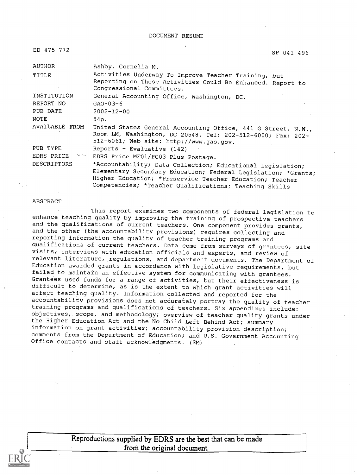| ED 475 772         | SP 041 496                                                                                                                                                                                                                                        |
|--------------------|---------------------------------------------------------------------------------------------------------------------------------------------------------------------------------------------------------------------------------------------------|
| AUTHOR             | Ashby, Cornelia M.                                                                                                                                                                                                                                |
| TITLE              | Activities Underway To Improve Teacher Training, but<br>Reporting on These Activities Could Be Enhanced. Report to<br>Congressional Committees.                                                                                                   |
| INSTITUTION        | General Accounting Office, Washington, DC.                                                                                                                                                                                                        |
| REPORT NO          | $GAO-03-6$                                                                                                                                                                                                                                        |
| PUB DATE           | $2002 - 12 - 00$                                                                                                                                                                                                                                  |
| NOTE               | 54p.                                                                                                                                                                                                                                              |
| AVAILABLE FROM     | United States General Accounting Office, 441 G Street, N.W.,<br>Room LM, Washington, DC 20548. Tel: 202-512-6000; Fax: 202-<br>512-6061; Web site: http://www.gao.gov.                                                                            |
| PUB TYPE           | Reports - Evaluative $(142)$                                                                                                                                                                                                                      |
| EDRS PRICE         | EDRS Price MF01/PC03 Plus Postage.                                                                                                                                                                                                                |
| <b>DESCRIPTORS</b> | *Accountability; Data Collection; Educational Legislation;<br>Elementary Secondary Education; Federal Legislation; *Grants;<br>Higher Education; *Preservice Teacher Education; Teacher<br>Competencies; *Teacher Qualifications; Teaching Skills |

#### ABSTRACT

This report examines two components of federal legislation to enhance teaching quality by improving the training of prospective teachers and the qualifications of current teachers. One component provides grants, and the other (the accountability provisions) requires collecting and reporting information the quality of teacher training programs and qualifications of current teachers. Data come from surveys of grantees, site visits, interviews with education officials and experts, and review of relevant literature, regulations, and department documents. The Department of Education awarded grants in accordance with legislative requirements, but failed to maintain an effective system for communicating with grantees. Grantees used funds for a range of activities, but their effectiveness is difficult to determine, as is the extent to which grant activities will affect teaching quality. Information collected and reported for the accountability provisions does not accurately portray the quality of teacher training programs and qualifications of teachers. Six appendixes include,: objectives, scope, and methodology; overview of teacher quality grants under the Higher Education Act and the No Child Left Behind Act; summary. information on grant activities; accountability provision description; comments from the Department of Education; and U.S. Government Accounting Office contacts and staff acknowledgments. (SM)

> Reproductions supplied by EDRS are the best that can be made from the original document.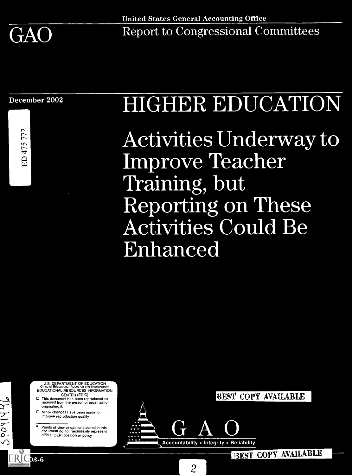

AO Report to Congression

December 2002

 $\overline{r}$   $\overline{r}$ 

 $\frac{1}{4}$ 

# **HIGHER EDUCATION**

r--- <sup>A</sup> a kr) e a a A <sup>4</sup> a Improve Teacher Training, but eporting on These  $\alpha$ Activities Could I  $\mathsf{P} \mathsf{Q}$  $\alpha$ ill $\alpha$ 

U.S. DEPARTMENT OF EDUCATION<br>Office of Educational Research and Improvement<br>EDUCATIONAL RESOURCES INFORMATION CENTER (ERIC)

- $\Box$  This document has been reproduced as received from the person or organization originating it.
	- Minor changes have been made to improve reproduction quality

 $\bigcap$ 

ERIC<sub>3-6</sub>

received from the person or organization<br>
Online or changes have been made to<br>
improve reproduction quality.<br>
Points of view or opinions stated in this<br>
document do not necessarily represent<br>
official OERI position or poli official OERI position or policy.

 $\overline{\phantom{a}}$ 

Accountability  $\star$  Integrity  $\star$  Reliability

 $\overline{2}$ 

EST COPY AVAILABLE

3EST COPY AVAILABLE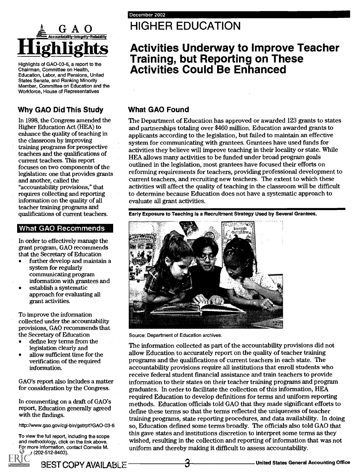

Highlights of GAO-03-6, a report to the Chairman, Committee on Health, Education, Labor, and Pensions, United States Senate, and Ranking Minority Member, Committee on Education and the Workforce, House of Representatives

### Why GAO Did This Study

In 1998, the Congress amended the Higher Education Act (HEA) to enhance the quality of teaching in the classroom by improving training programs for prospective teachers and the qualifications of current teachers. This report focuses on two components of the legislation: one that provides grants and another, called the "accountability provisions," that requires collecting and reporting information on the quality of all teacher training programs and qualifications of current teachers.

### What GAO Recommends

In order to effectively manage the grant program, GAO recommends that the Secretary of Education

- further develop and maintain a system for regularly communicating program information with grantees and
- establish a systematic  $\bullet$ approach for evaluating all grant activities.

To improve the information collected under the accountability provisions, GAO recommends that the Secretary of Education

- define key terms from the legislation clearly and
- allow sufficient time for the verification of the required information.

GAO's report also includes a matter for consideration by the Congress.

In commenting on a draft of GAO's report, Education generally agreed with the findings.

http://www.gao.gov/cgi-bin/getrpt?GAO-03-6

To view the full report, including the scope and methodology, click on the link above. For more information, contact Comelia M. Ashby (202-512-8403).

# G A O HIGHER EDUCATION

# **Highlights** Activities Underway to Improve Teacher Training, but Reporting on These Activities Could Be Enhanced

### What GAO Found

The Department of Education has approved or awarded 123 grants to states and partnerships totaling over \$460 million. Education awarded grants to applicants according to the legislation, but failed to maintain an effective system for communicating with grantees. Grantees have used funds for activities they believe will improve teaching in their locality or state. While HEA allows many activities to be funded under broad program goals outlined in the legislation, most grantees have focused their efforts on reforming requirements for teachers, providing professional development to current teachers, and recruiting new teachers. The extent to which these activities will affect the quality of teaching in the classroom will be difficult to determine because Education does not have a systematic approach to evaluate all grant activities.

Early Exposure to Teaching Is a Recruitment Strategy Used by Several Grantees.



Source: Department of Education archives.

The information collected as part of the accountability provisions did not allow Education to accurately report on the quality of teacher training programs and the qualifications of current teachers in each state. The accountability provisions require all institutions that enroll students who receive federal student financial assistance and train teachers to provide information to their states on their teacher training programs and program graduates. In order to facilitate the collection of this information, HEA required Education to develop definitions for terms and uniform reporting methods. Education officials told GAO that they made significant efforts to define these terms so that the terms reflected the uniqueness of teacher training programs, state reporting procedures, and data availability. In doing so, Education defined some terms broadly. The officials also told GAO that this gave states and institutions discretion to interpret some terms as they wished, resulting in the collection and reporting of information that was not uniform and thereby making it difficult to assess accountability.

BEST COPY AVAILABLE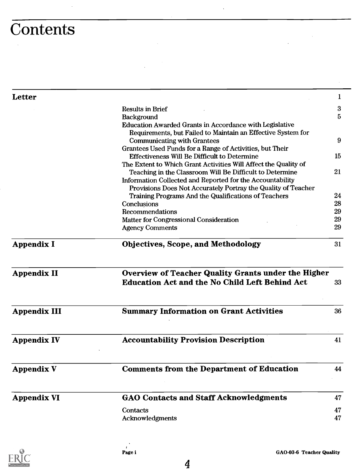# **Contents**

| Letter                                  |                                                                                                  | 1              |
|-----------------------------------------|--------------------------------------------------------------------------------------------------|----------------|
|                                         | <b>Results in Brief</b>                                                                          | 3              |
|                                         | Background                                                                                       | 5              |
|                                         | Education Awarded Grants in Accordance with Legislative                                          |                |
|                                         | Requirements, but Failed to Maintain an Effective System for                                     |                |
|                                         | <b>Communicating with Grantees</b>                                                               | 9              |
|                                         | Grantees Used Funds for a Range of Activities, but Their                                         |                |
|                                         | <b>Effectiveness Will Be Difficult to Determine</b>                                              | 15             |
|                                         | The Extent to Which Grant Activities Will Affect the Quality of                                  |                |
|                                         | Teaching in the Classroom Will Be Difficult to Determine                                         | 21             |
|                                         | Information Collected and Reported for the Accountability                                        |                |
|                                         | Provisions Does Not Accurately Portray the Quality of Teacher                                    |                |
|                                         | Training Programs And the Qualifications of Teachers                                             | 24             |
|                                         | Conclusions                                                                                      | 28             |
|                                         | Recommendations                                                                                  | 29<br>29       |
|                                         | <b>Matter for Congressional Consideration</b>                                                    |                |
|                                         | <b>Agency Comments</b>                                                                           | 29             |
|                                         |                                                                                                  |                |
| <b>Appendix I</b><br><b>Appendix II</b> | <b>Objectives, Scope, and Methodology</b><br>Overview of Teacher Quality Grants under the Higher | 31             |
|                                         | <b>Education Act and the No Child Left Behind Act</b>                                            | 33             |
| <b>Appendix III</b>                     | <b>Summary Information on Grant Activities</b>                                                   | 36             |
|                                         | <b>Accountability Provision Description</b>                                                      |                |
| <b>Appendix IV</b>                      |                                                                                                  |                |
| <b>Appendix V</b>                       | <b>Comments from the Department of Education</b>                                                 |                |
| <b>Appendix VI</b>                      | <b>GAO Contacts and Staff Acknowledgments</b>                                                    | 41<br>44<br>47 |
|                                         | Contacts                                                                                         | 47             |

l,

 $\ddot{\phantom{1}}$ 

 $\overline{\phantom{a}}$ 

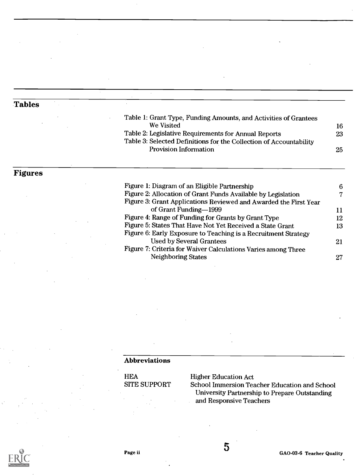### **Tables**

| Table 1: Grant Type, Funding Amounts, and Activities of Grantees<br>We Visited<br>Table 2: Legislative Requirements for Annual Reports<br>Table 3: Selected Definitions for the Collection of Accountability<br><b>Provision Information</b> |    |
|----------------------------------------------------------------------------------------------------------------------------------------------------------------------------------------------------------------------------------------------|----|
|                                                                                                                                                                                                                                              | 16 |
|                                                                                                                                                                                                                                              | 23 |
|                                                                                                                                                                                                                                              |    |
|                                                                                                                                                                                                                                              | 25 |
|                                                                                                                                                                                                                                              |    |
|                                                                                                                                                                                                                                              |    |

### Figures

| Figure 1: Diagram of an Eligible Partnership                     | 6  |
|------------------------------------------------------------------|----|
| Figure 2: Allocation of Grant Funds Available by Legislation     | 7  |
| Figure 3: Grant Applications Reviewed and Awarded the First Year |    |
| of Grant Funding-1999                                            | 11 |
| Figure 4: Range of Funding for Grants by Grant Type              | 12 |
| Figure 5: States That Have Not Yet Received a State Grant        | 13 |
| Figure 6: Early Exposure to Teaching is a Recruitment Strategy   |    |
| <b>Used by Several Grantees</b>                                  | 21 |
| Figure 7: Criteria for Waiver Calculations Varies among Three    |    |
| <b>Neighboring States</b>                                        | 27 |
|                                                                  |    |

#### Abbreviations

| <b>HEA</b>          | Highe  |
|---------------------|--------|
| <b>SITE SUPPORT</b> | Schoo  |
|                     | I Ini: |

er Education Act

ol Immersion Teacher Education and School University Partnership to Prepare Outstanding and Responsive Teachers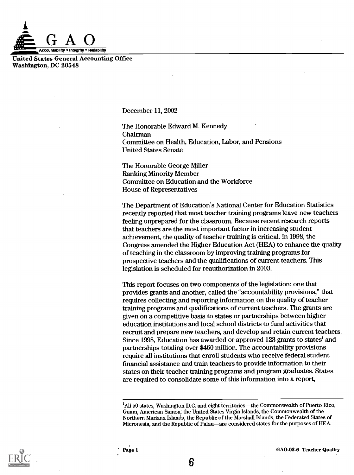

United States General Accounting Office Washington, DC 20548

December 11, 2002

The Honorable Edward M. Kennedy Chairman Committee on Health, Education, Labor, and Pensions United States Senate

The Honorable George Miller Ranking Minority Member Committee on Education and the Workforce House of Representatives

The Department of Education's National Center for Education Statistics recently reported that most teacher training programs leave new teachers feeling unprepared for the classroom. Because recent research reports that teachers are the most important factor in increasing student achievement, the quality of teacher training is critical. In 1998, the Congress amended the Higher Education Act (HEA) to enhance the quality of teaching in the classroom by improving training programs for prospective teachers and the qualifications of current teachers. This legislation is scheduled for reauthorization in 2003.

This report focuses on two components of the legislation: one that provides grants and another, called the "accountability provisions," that requires collecting and reporting information on the quality of teacher training programs and qualifications of current teachers. The grants are given on a competitive basis to states or partnerships between higher education institutions and local school districts to fund activities that recruit and prepare new teachers, and develop and retain current teachers. Since 1998, Education has awarded or approved 123 grants to states' and partnerships totaling over \$460 million. The accountability provisions require all institutions that enroll students who receive federal student financial assistance and train teachers to provide information to their states on their teacher training programs and program graduates. States are required to consolidate some of this information into a report,



<sup>&</sup>lt;sup>1</sup>All 50 states, Washington D.C. and eight territories—the Commonwealth of Puerto Rico, Guam, American Samoa, the United States Virgin Islands, the Commonwealth of the Northern Mariana Islands, the Republic of the Marshall Islands, the Federated States of Micronesia, and the Republic of Palau-are considered states for the purposes of HEA.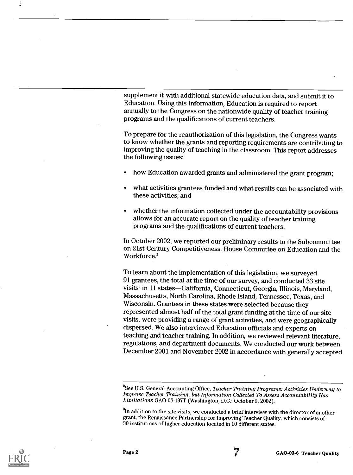supplement it with additional statewide education data, and submit it to Education. Using this information, Education is required to report annually to the Congress on the nationwide quality of teacher training programs and the qualifications of current teachers.

To prepare for the reauthorization of this legislation, the Congress wants to know whether the grants and reporting requirements are contributing to improving the quality of teaching in the classroom. This report addresses the following issues:

- how Education awarded grants and administered the grant program;
- what activities grantees funded and what results can be associated with these activities; and
- whether the information collected under the accountability provisions allows for an accurate report on the quality of teacher training programs and the qualifications of current teachers.

In October 2002, we reported our preliminary results to the Subcommittee on 21st Century Competitiveness, House Committee on Education and the Workforce.<sup>2</sup>

To learn about the implementation of this legislation, we surveyed 91 grantees, the total at the time of our survey, and conducted 33 site visits<sup>3</sup> in 11 states—California, Connecticut, Georgia, Illinois, Maryland, Massachusetts, North Carolina, Rhode Island, Tennessee, Texas, and Wisconsin. Grantees in these states were selected because they represented almost half of the total grant funding at the time of our site visits, were providing a range of grant activities, and were geographically dispersed. We also interviewed Education officials and experts on teaching and teacher training. In addition, we reviewed relevant literature, regulations, and department documents. We conducted our work between December 2001 and November 2002 in accordance with generally accepted



Page 2 GAO-03-6 Teacher Quality

<sup>&</sup>lt;sup>2</sup>See U.S. General Accounting Office, Teacher Training Programs: Activities Underway to Improve Teacher Training, but Information Collected To Assess Accountability Has Limitations GAO-03-197T (Washington, D.C.: October 9, 2002).

 ${}^{3}\text{In}$  addition to the site visits, we conducted a brief interview with the director of another grant, the Renaissance Partnership for Improving Teacher Quality, which consists of 30 institutions of higher education located in 10 different states.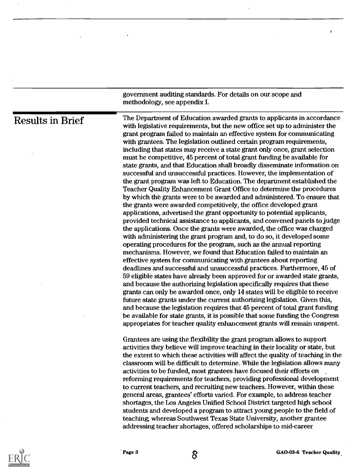|                         | government auditing standards. For details on our scope and<br>methodology, see appendix I.                                                                                                                                                                                                                                                                                                                                                                                                                                                                                                                                                                                                                                                                                                                                                                                                                                                                                                                                                                                                                                                                                                                                                                                                                                                                                                                                                                                                                                                                                                                                                                                                                                                                                                                                                                                                                                                                                                                                                                                                       |
|-------------------------|---------------------------------------------------------------------------------------------------------------------------------------------------------------------------------------------------------------------------------------------------------------------------------------------------------------------------------------------------------------------------------------------------------------------------------------------------------------------------------------------------------------------------------------------------------------------------------------------------------------------------------------------------------------------------------------------------------------------------------------------------------------------------------------------------------------------------------------------------------------------------------------------------------------------------------------------------------------------------------------------------------------------------------------------------------------------------------------------------------------------------------------------------------------------------------------------------------------------------------------------------------------------------------------------------------------------------------------------------------------------------------------------------------------------------------------------------------------------------------------------------------------------------------------------------------------------------------------------------------------------------------------------------------------------------------------------------------------------------------------------------------------------------------------------------------------------------------------------------------------------------------------------------------------------------------------------------------------------------------------------------------------------------------------------------------------------------------------------------|
| <b>Results in Brief</b> | The Department of Education awarded grants to applicants in accordance<br>with legislative requirements, but the new office set up to administer the<br>grant program failed to maintain an effective system for communicating<br>with grantees. The legislation outlined certain program requirements,<br>including that states may receive a state grant only once, grant selection<br>must be competitive, 45 percent of total grant funding be available for<br>state grants, and that Education shall broadly disseminate information on<br>successful and unsuccessful practices. However, the implementation of<br>the grant program was left to Education. The department established the<br>Teacher Quality Enhancement Grant Office to determine the procedures<br>by which the grants were to be awarded and administered. To ensure that<br>the grants were awarded competitively, the office developed grant<br>applications, advertised the grant opportunity to potential applicants,<br>provided technical assistance to applicants, and convened panels to judge<br>the applications. Once the grants were awarded, the office was charged<br>with administering the grant program and, to do so, it developed some<br>operating procedures for the program, such as the annual reporting<br>mechanisms. However, we found that Education failed to maintain an<br>effective system for communicating with grantees about reporting<br>deadlines and successful and unsuccessful practices. Furthermore, 45 of<br>59 eligible states have already been approved for or awarded state grants,<br>and because the authorizing legislation specifically requires that these<br>grants can only be awarded once, only 14 states will be eligible to receive<br>future state grants under the current authorizing legislation. Given this,<br>and because the legislation requires that 45 percent of total grant funding<br>be available for state grants, it is possible that some funding the Congress<br>appropriates for teacher quality enhancement grants will remain unspent. |
|                         | Grantees are using the flexibility the grant program allows to support<br>activities they believe will improve teaching in their locality or state, but<br>the extent to which these activities will affect the quality of teaching in the<br>classroom will be difficult to determine. While the legislation allows many<br>activities to be funded, most grantees have focused their efforts on<br>reforming requirements for teachers, providing professional development<br>to current teachers, and recruiting new teachers. However, within these<br>general areas, grantees' efforts varied. For example, to address teacher<br>shortages, the Los Angeles Unified School District targeted high school<br>students and developed a program to attract young people to the field of<br>teaching; whereas Southwest Texas State University, another grantee<br>addressing teacher shortages, offered scholarships to mid-career                                                                                                                                                                                                                                                                                                                                                                                                                                                                                                                                                                                                                                                                                                                                                                                                                                                                                                                                                                                                                                                                                                                                                             |



Page 3 GAO-03-6 Teacher Quality

 $\mathbf{I}$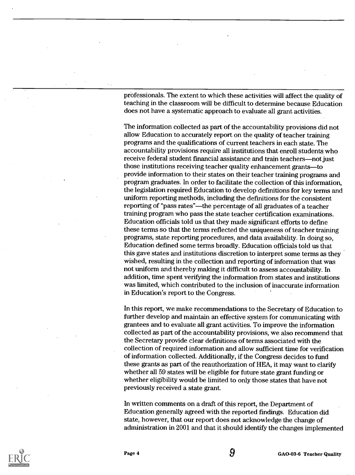professionals. The extent to which these activities will affect the quality of teaching in the classroom will be difficult to determine because Education does not have a systematic approach to evaluate all grant activities.

The information collected as part of the accountability provisions did not allow Education to accurately report on the quality of teacher training programs and the qualifications of current teachers in each state. The accountability provisions require all institutions that enroll students who receive federal student financial assistance and train teachers—not just those institutions receiving teacher quality enhancement grants—to provide information to their states on their teacher training programs and program graduates. In order to facilitate the collection of this information, the legislation required Education to develop definitions for key terms and uniform reporting methods, including the definitions for the consistent reporting of "pass rates"—the percentage of all graduates of a teacher training program who pass the state teacher certification examinations. Education officials told us that they made significant efforts to define these terms so that the terms reflected the uniqueness of teacher training programs, state reporting procedures, and data availability. In doing so, Education defined some terms broadly. Education officials told us that this gave states and institutions discretion to interpret some terms as they wished, resulting in the collection and reporting of information that was not uniform and thereby making it difficult to assess accountability. In addition, time spent verifying the information from states and institutions was limited, which contributed to the inclusion of inaccurate information in Education's report to the Congress.

In this report, we make recommendations to the Secretary of Education to further develop and maintain an effective system for communicating with grantees and to evaluate all grant activities. To improve the information collected as part of the accountability provisions, we also recommend that the Secretary provide clear definitions of terms associated with the collection of required information and allow sufficient time for verification of information collected. Additionally, if the Congress decides to fund these grants as part of the reauthorization of HEA, it may want to clarify whether all 59 states will be eligible for future state grant funding or whether eligibility would be limited to only those states that have not previously received a state grant.

In written comments on a draft of this report, the Department of Education generally agreed with the reported findings. Education did state, however, that our report does not acknowledge the change of administration in 2001 and that it should identify the changes implemented

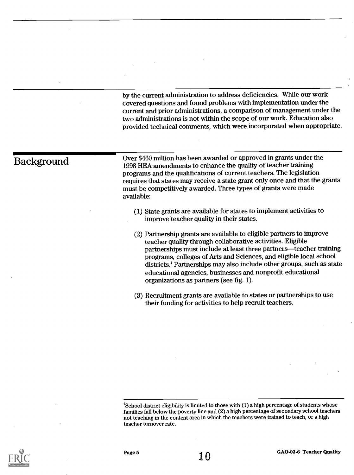by the current administration to address deficiencies. While our work covered questions and found problems with implementation under the current and prior administrations, a comparison of management under the two administrations is not within the scope of our work. Education also provided technical comments, which were incorporated when appropriate.

 $\overline{\text{Background}}$  Over \$460 million has been awarded or approved in grants under the  $\overline{\text{Background}}$ 1998 HEA amendments to enhance the quality of teacher training programs and the qualifications of current teachers. The legislation requires that states may receive a state grant only once and that the grants must be competitively awarded. Three types of grants were made available:

- (1) State grants are available for states to implement activities to improve teacher quality in their states.
- (2) Partnership grants are available to eligible partners to improve teacher quality through collaborative activities. Eligible partnerships must include at least three partners—teacher training programs, colleges of Arts and Sciences, and eligible local school districts.' Partnerships may also include other groups, such as state educational agencies, businesses and nonprofit educational organizations as partners (see fig. 1).
- (3) Recruitment grants are available to states or partnerships to use their funding for activities to help recruit teachers.



<sup>&</sup>lt;sup>4</sup>School district eligibility is limited to those with (1) a high percentage of students whose families fall below the poverty line and (2) a high percentage of secondary school teachers not teaching in the content area in which the teachers were trained to teach, or a high teacher turnover rate.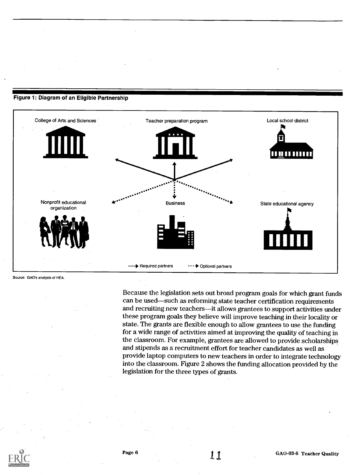

#### Figure 1: Diagram of an Eligible Partnership

Source: GAO's analysis of HEA.

Because the legislation sets out broad program goals for which grant funds can be used-such as reforming state teacher certification requirements and recruiting new teachers-it allows grantees to support activities under these program goals they believe will improve teaching in their locality or state. The grants are flexible enough to allow grantees to use the funding for a wide range of activities aimed at improving the quality of teaching in the classroom. For example, grantees are allowed to provide scholarships and stipends as a recruitment effort for teacher candidates as well as provide laptop computers to new teachers in order to integrate technology into the classroom. Figure 2 shows the funding allocation provided by the legislation for the three types of grants.

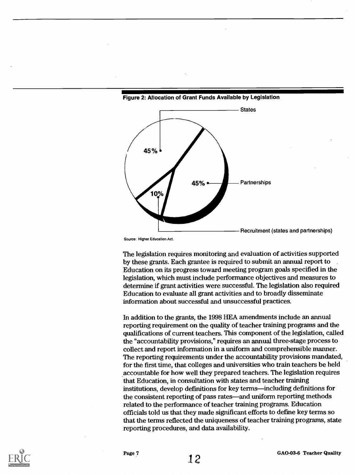

#### Figure 2: Allocation of Grant Funds Available by Legislation

Source: Higher Education Act.

The legislation requires monitoring and evaluation of activities supported by these grants. Each grantee is required to submit an annual report to Education on its progress toward meeting program goals specified in the legislation, which must include performance objectives and measures to determine if grant activities were successful. The legislation also required Education to evaluate all grant activities and to broadly disseminate information about successful and unsuccessful practices.

In addition to the grants, the 1998 HEA amendments include an annual reporting requirement on the quality of teacher training programs and the qualifications of current teachers. This component of the legislation, called the "accountability provisions," requires an annual three-stage process to collect and report information in a uniform and comprehensible manner. The reporting requirements under the accountability provisions mandated, for the first time, that colleges and universities who train teachers be held accountable for how well they prepared teachers. The legislation requires that Education, in consultation with states and teacher training institutions, develop definitions for key terms—including definitions for the consistent reporting of pass rates—and uniform reporting methods related to the performance of teacher training programs. Education officials told us that they made significant efforts to define key terms so that the terms reflected the uniqueness of teacher training programs, state reporting procedures, and data availability.

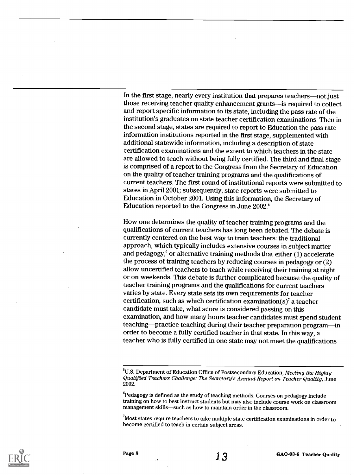In the first stage, nearly every institution that prepares teachers—not just those receiving teacher quality enhancement grants-is required to collect and report specific information to its state, including the pass rate of the institution's graduates on state teacher certification examinations. Then in the second stage, states are required to report to Education the pass rate information institutions reported in the first stage, supplemented with additional statewide information, including a description of state certification examinations and the extent to which teachers in the state are allowed to teach without being fully certified. The third and final stage is comprised of a report to the Congress from the Secretary of Education on the quality of teacher training programs and the qualifications of current teachers. The first round of institutional reports were submitted to states in April 2001; subsequently, state reports were submitted to Education in October 2001. Using this information, the Secretary of Education reported to the Congress in June 2002.'

How one determines the quality of teacher training programs and the qualifications of current teachers has long been debated. The debate is currently centered on the best way to train teachers: the traditional approach, which typically includes extensive courses in subject matter and pedagogy, $6$  or alternative training methods that either (1) accelerate the process of training teachers by reducing courses in pedagogy or (2) allow uncertified teachers to teach while receiving their training at night or on weekends. This debate is further complicated because the quality of teacher training programs and the qualifications for current teachers varies by state. Every state sets its own requirements for teacher certification, such as which certification examination(s)<sup>7</sup> a teacher candidate must take, what score is considered passing on this examination, and how many hours teacher candidates must spend student teaching—practice teaching during their teacher preparation program—in order to become a fully certified teacher in that state. In this way, a teacher who is fully certified in one state may not meet the qualifications



<sup>&</sup>lt;sup>5</sup>U.S. Department of Education Office of Postsecondary Education, *Meeting the Highly* Qualified Teachers Challenge: The Secretary's Annual Report on Teacher Quality, June 2002.

 $^6$ Pedagogy is defined as the study of teaching methods. Courses on pedagogy include training on how to best instruct students but may also include course work on classroom management skills-such as how to maintain order in the classroom.

 $^7$ Most states require teachers to take multiple state certification examinations in order to become certified to teach in certain subject areas.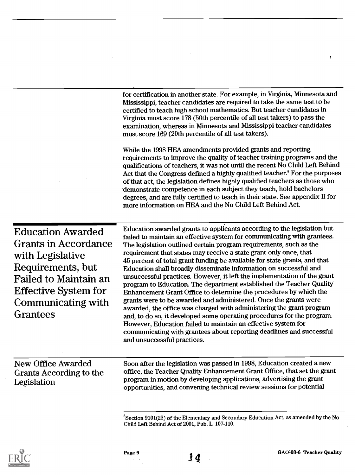for certification in another state. For example, in Virginia, Minnesota and Mississippi, teacher candidates are required to take the same test to be certified to teach high school mathematics. But teacher candidates in Virginia must score 178 (50th percentile of all test takers) to pass the examination, whereas in Minnesota and Mississippi teacher candidates must score 169 (20th percentile of all test takers).

While the 1998 HEA amendments provided grants and reporting requirements to improve the quality of teacher training programs and the qualifications of teachers, it was not until the recent No Child Left Behind Act that the Congress defined a highly qualified teacher.<sup>8</sup> For the purposes of that act, the legislation defines highly qualified teachers as those who 'demonstrate competence in each subject they teach, hold bachelors degrees, and are fully certified to teach in their state. See appendix II for more information on HEA and the No Child Left Behind Act.

Education Awarded Grants in Accordance with Legislative Requirements, but Failed to Maintain an Effective System for Communicating with Grantees

Education awarded grants to applicants according to the legislation but failed to maintain an effective system for communicating with grantees. The legislation outlined certain program requirements, such as the requirement that states may receive a state grant only once, that 45 percent of total grant funding be available for state grants, and that Education shall broadly disseminate information on successful and unsuccessful practices. However, it left the implementation of the grant program to Education. The department established the Teacher Quality Enhancement Grant Office to determine the procedures by which the grants were to be awarded and administered. Once the grants were awarded, the office was charged with administering the grant program and, to do so, it developed some operating procedures for the program. However, Education failed to maintain an effective system for communicating with grantees about reporting deadlines and successful and unsuccessful practices.

New Office Awarded Grants According to the Legislation

Soon after the legislation was passed in 1998, Education created a new office, the Teacher Quality Enhancement Grant Office, that set the grant program in motion by developing applications, advertising the grant opportunities, and convening technical review sessions for potential

'Section 9101(23) of the Elementary and Secondary Education Act, as amended by the No Child Left Behind Act of 2001, Pub. L 107-110.



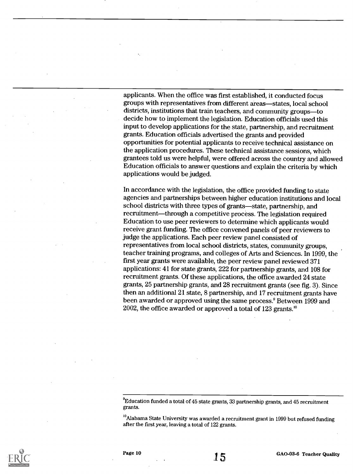applicants. When the office was first established, it conducted focus groups with representatives from different areas—states, local school districts, institutions that train teachers, and community groups-to decide how to implement the legislation. Education officials used this input to develop applications for the state, partnership, and recruitment grants. Education officials advertised the grants and provided opportunities for potential applicants to receive technical assistance on the application procedures. These technical assistance sessions, which grantees told us were helpful, were offered across the country and allowed Education officials to answer questions and explain the criteria by which applications would be judged.

In accordance with the legislation, the office provided funding to state agencies and partnerships between higher education institutions and local school districts with three types of grants-state, partnership, and recruitment—through a competitive process. The legislation required Education to use peer reviewers to determine which applicants would receive grant funding. The office convened panels of peer reviewers to judge the applications. Each peer review panel consisted of representatives from local school districts, states, community groups, teacher training programs, and colleges of Arts and Sciences. In 1999, the first year grants were available, the peer review panel reviewed 371 applications: 41 for state grants, 222 for partnership grants, and 108 for recruitment grants. Of these applications, the office awarded 24 state grants, 25 partnership grants, and 28 recruitment grants (see fig. 3). Since then an additional 21 state, 8 partnership, and 17 recruitment grants have been awarded or approved using the same process.' Between 1999 and 2002, the office awarded or approved a total of 123 grants.'

 $^{9}$ Education funded a total of 45 state grants, 33 partnership grants, and 45 recruitment grants.

<sup>10</sup>Alabama State University was awarded a recruitment grant in 1999 but refused funding after the first year, leaving a total of 122 grants.

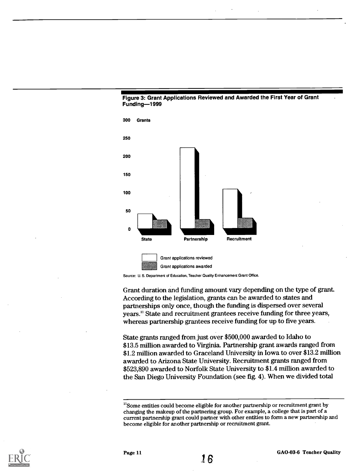





Grant duration and funding amount vary depending on the type of grant. According to the legislation, grants can be awarded to states and partnerships only once, though the funding is dispersed over several years." State and recruitment grantees receive funding for three years, whereas partnership grantees receive funding for up to five years.

State grants ranged from just over \$500,000 awarded to Idaho to \$13.5 million awarded to Virginia. Partnership grant awards ranged from \$1.2 million awarded to Graceland University in Iowa to over \$13.2 million awarded to Arizona State University. Recruitment grants ranged from \$523,890 awarded to Norfolk State University to \$1.4 million awarded to the San Diego University Foundation (see fig. 4). When we divided total



<sup>&</sup>lt;sup>11</sup>Some entities could become eligible for another partnership or recruitment grant by changing the makeup of the partnering group. For example, a college that is part of a current partnership grant could partner with other entities to form a new partnership and become eligible for another partnership or recruitment grant.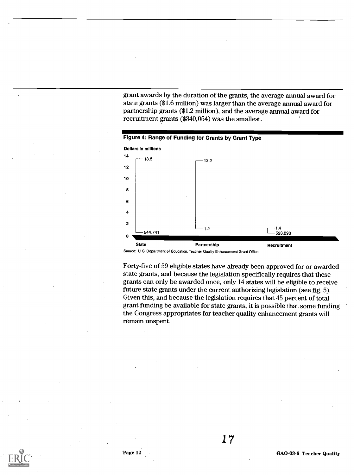grant awards by the duration of the grants, the average annual award for state grants (\$1.6 million) was larger than the average annual award for partnership grants (\$1.2 million), and the average annual award for recruitment grants (\$340,054) was the smallest.



Source: U. S. Department of Education, Teacher Quality Enhancement Grant Office.

Forty-five of 59 eligible states have already been approved for or awarded state grants, and because the legislation specifically requires that these grants can only be awarded once, only 14 states will be eligible to receive future state grants under the current authorizing legislation (see fig. 5). Given this, and because the legislation requires that 45 percent of total grant funding be available for state grants, it is possible that some funding the Congress appropriates for teacher quality enhancement grants will remain unspent.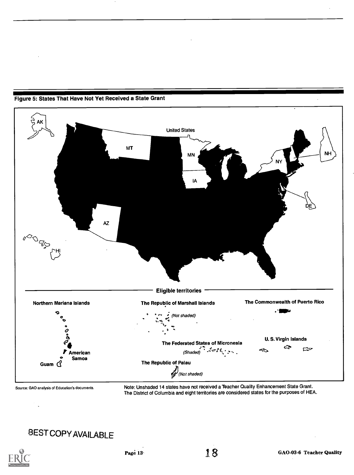

#### Figure 5: States That Have Not Yet Received a State Grant

Source: GAO analysis of Education's documents.

Note: Unshaded 14 states have not received a Teacher Quality Enhancement State Grant. The District of Columbia and eight territories are considered states for the purposes of HEA.

### BESTCOpy AVAILABLE

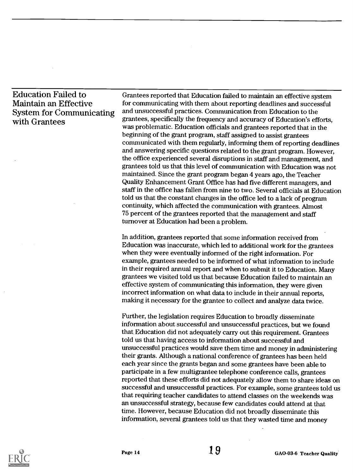### Education Failed to Maintain an Effective System for Communicating with Grantees

Grantees reported that Education failed to maintain an effective system for communicating with them about reporting deadlines and successful and unsuccessful practices. Communication from Education to the grantees, specifically the frequency and accuracy of Education's efforts, was problematic. Education officials and grantees reported that in the beginning of the grant program, staff assigned to assist grantees communicated with them regularly, informing them of reporting deadlines and answering specific questions related to the grant program. However, the office experienced several disruptions in staff and management, and grantees told us that this level of communication with Education was not maintained. Since the grant program began 4 years ago, the Teacher Quality Enhancement Grant Office has had five different managers, and staff in the office has fallen from nine to two. Several officials at Education told us that the constant changes in the office led to a lack of program continuity, which affected the communication with grantees. Almost 75 percent of the grantees reported that the management and staff turnover at Education had been a problem.

In addition, grantees reported that some information received from Education was inaccurate, which led to additional work for the grantees when they were eventually informed of the right information. For example, grantees needed to be informed of what information to include in their required annual report and when to submit it to Education. Many grantees we visited told us that because Education failed to maintain an effective system of communicating this information, they were given incorrect information on what data to include in their annual reports, making it necessary for the grantee to collect and analyze data twice.

Further, the legislation requires Education to broadly disseminate information about successful and unsuccessful practices, but we found that Education did not adequately carry out this requirement. Grantees told us that having access to information about successful and unsuccessful practices would save them time and money in administering their grants. Although a national conference of grantees has been held each year since the grants began and some grantees have been able to participate in a few multigrantee telephone conference calls, grantees reported that these efforts did not adequately allow them to share ideas on successful and unsuccessful practices. For example, some grantees told us that requiring teacher candidates to attend classes on the weekends was an unsuccessful strategy, because few candidates could attend at that time. However, because Education did not broadly disseminate this information, several grantees told us that they wasted time and money

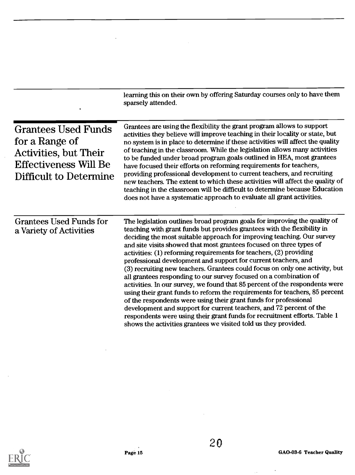|                                                                                                                                               | learning this on their own by offering Saturday courses only to have them<br>sparsely attended.                                                                                                                                                                                                                                                                                                                                                                                                                                                                                                                                                                                                                                                                                                                                                                                                                                                                                                                                                            |
|-----------------------------------------------------------------------------------------------------------------------------------------------|------------------------------------------------------------------------------------------------------------------------------------------------------------------------------------------------------------------------------------------------------------------------------------------------------------------------------------------------------------------------------------------------------------------------------------------------------------------------------------------------------------------------------------------------------------------------------------------------------------------------------------------------------------------------------------------------------------------------------------------------------------------------------------------------------------------------------------------------------------------------------------------------------------------------------------------------------------------------------------------------------------------------------------------------------------|
| <b>Grantees Used Funds</b><br>for a Range of<br><b>Activities, but Their</b><br><b>Effectiveness Will Be</b><br><b>Difficult to Determine</b> | Grantees are using the flexibility the grant program allows to support<br>activities they believe will improve teaching in their locality or state, but<br>no system is in place to determine if these activities will affect the quality<br>of teaching in the classroom. While the legislation allows many activities<br>to be funded under broad program goals outlined in HEA, most grantees<br>have focused their efforts on reforming requirements for teachers,<br>providing professional development to current teachers, and recruiting<br>new teachers. The extent to which these activities will affect the quality of<br>teaching in the classroom will be difficult to determine because Education<br>does not have a systematic approach to evaluate all grant activities.                                                                                                                                                                                                                                                                   |
| <b>Grantees Used Funds for</b><br>a Variety of Activities                                                                                     | The legislation outlines broad program goals for improving the quality of<br>teaching with grant funds but provides grantees with the flexibility in<br>deciding the most suitable approach for improving teaching. Our survey<br>and site visits showed that most grantees focused on three types of<br>activities: (1) reforming requirements for teachers, (2) providing<br>professional development and support for current teachers, and<br>(3) recruiting new teachers. Grantees could focus on only one activity, but<br>all grantees responding to our survey focused on a combination of<br>activities. In our survey, we found that 85 percent of the respondents were<br>using their grant funds to reform the requirements for teachers, 85 percent<br>of the respondents were using their grant funds for professional<br>development and support for current teachers, and 72 percent of the<br>respondents were using their grant funds for recruitment efforts. Table 1<br>shows the activities grantees we visited told us they provided. |



J.

 $\bar{z}$ 

 $\sim$ 

 $\hat{\mathcal{A}}$ 

 $\Delta S_{\rm{max}}$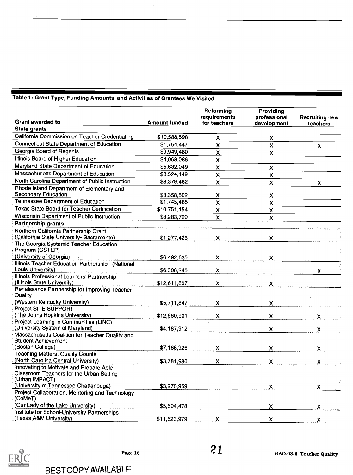|                                                                                   |                      | Reforming<br><b>requirements</b> | Providing<br>professional | <b>Recruiting new</b> |
|-----------------------------------------------------------------------------------|----------------------|----------------------------------|---------------------------|-----------------------|
| <b>Grant awarded to</b>                                                           | <b>Amount funded</b> | for teachers                     | development               | teachers              |
| <b>State grants</b>                                                               |                      |                                  |                           |                       |
| California Commission on Teacher Credentialing                                    | \$10,588,598         | X                                | $\boldsymbol{\mathsf{X}}$ |                       |
| <b>Connecticut State Department of Education</b>                                  | \$1,764,447          | $\mathsf{x}$                     | $\mathsf{X}$              | $\mathsf{X}$          |
| Georgia Board of Regents                                                          | \$9,949,480          | $\boldsymbol{\mathsf{x}}$        | $\mathsf{X}$              |                       |
| Illinois Board of Higher Education                                                | \$4,068,086          | $\overline{\mathsf{x}}$          |                           |                       |
| Maryland State Department of Education                                            | \$5,632,049          | $\mathsf{x}$                     | $\mathsf{x}$              |                       |
| Massachusetts Department of Education                                             | \$3,524,149          | X                                | $\mathsf{x}$              |                       |
| North Carolina Department of Public Instruction                                   | \$8,379,462          | X                                | $\mathsf{x}$              | $\mathsf{x}$          |
| Rhode Island Department of Elementary and                                         |                      |                                  |                           |                       |
| <b>Secondary Education</b>                                                        | \$3,358,502          | X                                | X                         |                       |
| <b>Tennessee Department of Education</b>                                          | \$1,745,465          | $\mathsf{x}$                     | $\mathsf{x}$              |                       |
| <b>Texas State Board for Teacher Certification</b>                                | \$10,751,154         | $\mathsf{x}$                     | $\mathsf{x}$              |                       |
| Wisconsin Department of Public Instruction                                        | \$3,283,720          | $\overline{\mathsf{x}}$          | $\mathsf{x}$              |                       |
| Partnership grants                                                                |                      |                                  |                           |                       |
| Northern California Partnership Grant<br>(California State University-Sacramento) | \$1,277,426          | X.                               | X.                        |                       |
| The Georgia Systemic Teacher Education<br>Program (GSTEP)                         |                      |                                  |                           |                       |
| (University of Georgia)                                                           | \$6,492,635          | X.                               | x                         |                       |
| Illinois Teacher Education Partnership (National                                  |                      |                                  |                           |                       |
| Louis University)                                                                 | \$6,308,245          | X                                |                           |                       |
| Illinois Professional Learners' Partnership                                       |                      |                                  |                           |                       |
| (Illinois State University)                                                       | \$12,611,607         | X                                | $\mathsf{x}$              |                       |
| Renaissance Partnership for Improving Teacher<br>Quality                          |                      |                                  |                           |                       |
| (Western Kentucky University)                                                     | \$5,711,847          | X.                               | x                         |                       |
| Project SITE SUPPORT                                                              |                      |                                  |                           |                       |
| (The Johns Hopkins University)                                                    | \$12,660,901         | X                                | $\mathsf{x}$              | X.                    |
| <b>Project Learning in Communities (LINC)</b>                                     |                      |                                  |                           |                       |
| (University System of Maryland)                                                   | \$4,187,912          |                                  | X.                        | X.                    |
| Massachusetts Coalition for Teacher Quality and<br><b>Student Achievement</b>     |                      |                                  |                           |                       |
| (Boston College)                                                                  | \$7,168,926          | x                                | X.                        |                       |
| <b>Teaching Matters, Quality Counts</b>                                           |                      |                                  |                           | X.                    |
| (North Carolina Central University)                                               | \$3,781,980          | $\mathsf{X}$                     | X.                        | X.                    |
| Innovating to Motivate and Prepare Able                                           |                      |                                  |                           |                       |
| Classroom Teachers for the Urban Setting<br>(Urban IMPACT)                        |                      |                                  |                           |                       |
| (University of Tennessee-Chattanooga)                                             | \$3,270,959          |                                  | $\mathsf{X}$              | X.                    |
| Project Collaboration, Mentoring and Technology<br>(CoMeT)                        |                      |                                  |                           |                       |
| (Our Lady of the Lake University)                                                 | \$5,604,478          |                                  | X.                        | X.                    |
| Institute for School-University Partnerships                                      |                      |                                  |                           |                       |
| (Texas A&M University)                                                            | \$11,623,979         | $\mathsf{x}$                     | X.                        | $\pmb{\mathsf{X}}$    |

### Table 1: Grant Type, Funding Amounts, and Activities of Grantees We Visited



÷.

 $\hat{\boldsymbol{\gamma}}$ 

BEST COPY AVAILABLE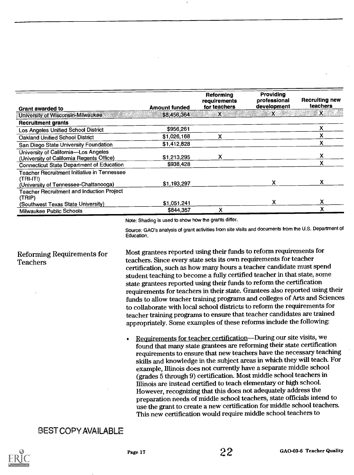| <b>Grant awarded to</b>                                                                                  | <b>Amount funded</b>     | Reforming<br>requirements<br>for teachers | Providina<br>professional<br>development | <b>Recruiting new</b><br>teachers |
|----------------------------------------------------------------------------------------------------------|--------------------------|-------------------------------------------|------------------------------------------|-----------------------------------|
| University of Wisconsin-Milwaukee.                                                                       | \$8,456,364              | $\boldsymbol{\mathsf{x}}$                 | $\mathbf{x}$                             | $\boldsymbol{\mathsf{x}}$         |
| <b>Recruitment grants</b>                                                                                |                          |                                           |                                          |                                   |
| <b>Los Angeles Unified School District</b>                                                               | \$956,261                |                                           |                                          | x                                 |
| <b>Oakland Unified School District</b>                                                                   | \$1,026,168              | x                                         |                                          |                                   |
| San Diego State University Foundation                                                                    | \$1,412,828              |                                           |                                          |                                   |
| University of California-Los Angeles<br>(University of California Regents Office)                        | \$1,213,295              | x                                         |                                          |                                   |
| <b>Connecticut State Department of Education</b>                                                         | \$938,428                |                                           |                                          |                                   |
| <b>Teacher Recruitment Initiative in Tennessee</b><br>(TRI-IT!)<br>(University of Tennessee-Chattanooga) | \$1,193,297              |                                           |                                          | X.                                |
| <b>Teacher Recruitment and Induction Project</b><br>(TRIP)                                               |                          |                                           |                                          |                                   |
| (Southwest Texas State University)<br>Milwaukee Public Schools                                           | \$1,051,241<br>\$844,357 | χ                                         |                                          | v                                 |

Note: Shading is used to show how the grants differ.

Source: GAO's analysis of grant activities from site visits and documents from the U.S. Department of Education.

### Reforming Requirements for Teachers

Most grantees reported using their funds to reform requirements for teachers. Since every state sets its own requirements for teacher certification, such as how many hours a teacher candidate must spend student teaching to become a fully certified teacher in that state, some state grantees reported using their funds to reform the certification requirements for teachers in their state. Grantees also reported using their funds to allow teacher training programs and colleges of Arts and Sciences to collaborate with local school districts to reform the requirements for teacher training programs to ensure that teacher candidates are trained appropriately. Some examples of these reforms include the following:

Requirements for teacher certification—During our site visits, we found that many state grantees are reforming their state certification requirements to ensure that new teachers have the necessary teaching skills and knowledge in the subject areas in which they will teach. For example, Illinois does not currently have a separate middle school (grades 5 through 9) certification. Most middle school teachers in Illinois are instead certified to teach elementary or high school. However, recognizing that this does not adequately address the preparation needs of middle school teachers, state officials intend to use the grant to create a new certification for middle school teachers. This new certification would require middle school teachers to

### BEST COPY AVAILABLE

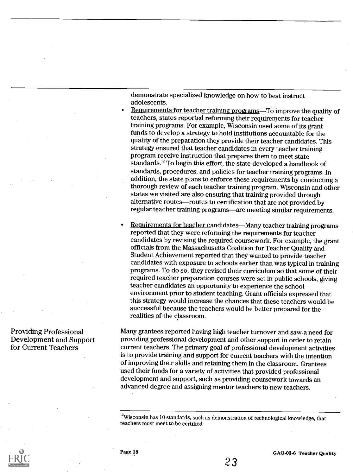demonstrate specialized knowledge on how to best instruct adolescents.

- Requirements for teacher training programs—To improve the quality of teachers, states reported reforming their requirements for teacher training programs. For example, Wisconsin used some of its grant funds to develop a strategy to hold institutions accountable for the quality of the preparation they provide their teacher candidates. This strategy ensured that teacher candidates in every teacher training program receive instruction that prepares them to meet state standards.<sup>12</sup> To begin this effort, the state developed a handbook of standards, procedures, and policies for teacher training programs. In addition, the state plans to enforce these requirements by conductinga thorough review of each teacher training program. Wisconsin and other states we visited are also ensuring that training provided through alternative routes-routes to certification that are not provided by regular teacher training programs—are meeting similar requirements.
- Requirements for teacher candidates—Many teacher training programs reported that they were reforming the requirements for teacher candidates by revising the required coursework. For example, the grant officials from the Massachusetts Coalition for Teacher Quality and Student Achievement reported that they wanted to provide teacher candidates with exposure to schools earlier than was typical in training programs. To do so, they revised their curriculum so that some of their required teacher preparation courses were set in public schools, giving teacher candidates an opportunity to experience the school environment prior to student teaching. Grant officials expressed that this strategy would increase the chances that these teachers would be successful because the teachers would be better prepared for the realities of the classroom.

Many grantees reported having high teacher turnover and saw a need for providing professional development and other support in order to retain current teachers. The primary goal of professional development activities is to provide training and support for current teachers with the intention of improving their skills and retaining them in the classroom. Grantees used their funds for a variety of activities that provided professional development and support, such as providing coursework towards an advanced degree and assigning mentor teachers to new teachers.

<sup>12</sup>Wisconsin has 10 standards, such as demonstration of technological knowledge, that teachers must meet to be certified.

Providing Professional Development and Support for Current Teachers



Page 18 GAO-03-6 Teacher Quality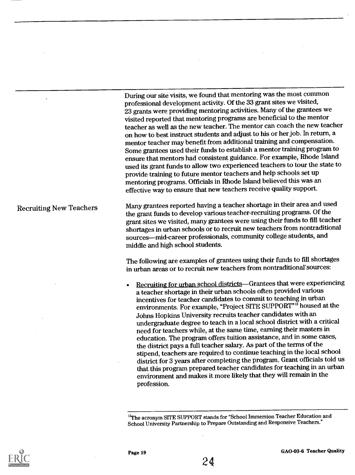During our site visits, we found that mentoring was the most common professional development activity. Of the 33 grant sites we visited, 23 grants were providing mentoring activities. Many of the grantees we visited reported that mentoring programs are beneficial to the mentor teacher as well as the new teacher. The mentor can coach the new teacher on how to best instruct students and adjust to his or her job. In return, a mentor teacher may benefit from additional training and compensation. Some grantees used their funds to establish a mentor training program to ensure that mentors had consistent guidance. For example, Rhode Island used its grant funds to allow two experienced teachers to tour the state to provide training to future mentor teachers and help schools set up mentoring programs. Officials in Rhode Island believed this was an effective way to ensure that new teachers receive quality support.

Recruiting New Teachers Many grantees reported having a teacher shortage in their area and used the grant funds to develop various teacher-recruiting programs. Of the grant sites we visited, many grantees were using their funds to fill teacher shortages in urban schools or to recruit new teachers from nontraditional sources-mid-career professionals, community college students, and middle and high school students.

> The following are examples of grantees using their funds to fill shortages in urban areas or to recruit new teachers from nontraditional' sources:

Recruiting for urban school districts-Grantees that were experiencing a teacher shortage in their urban schools often provided various incentives for teacher candidates to commit to teaching in urban environments. For example, "Project SITE SUPPORT"<sup>13</sup> housed at the Johns Hopkins University recruits teacher candidates with an undergraduate degree to teach in a local school district with a critical need for teachers while, at the same time, earning their masters in education. The program offers tuition assistance, and in some cases, the district pays a full teacher salary. As part of the terms of the stipend, teachers are required to continue teaching in the local school district for 3 years after completing the program. Grant officials told us that this program prepared teacher candidates for teaching in an urban environment and makes it more likely that they will remain in the profession.

<sup>13</sup>The acronym SITE SUPPORT stands for "School Immersion Teacher Education and School University Partnership to Prepare Outstanding and Responsive Teachers."



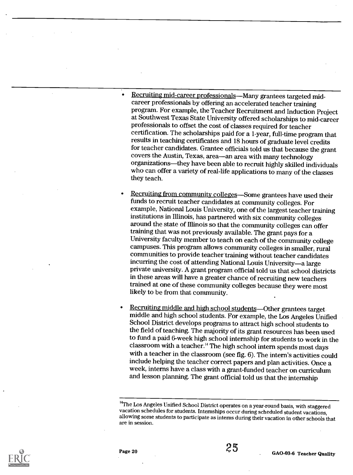- Recruiting mid-career professionals—Many grantees targeted midcareer professionals by offering an accelerated teacher training program. For example, the Teacher Recruitment and Induction Project at Southwest Texas State University offered scholarships to mid-career professionals to offset the cost of classes required for teacher certification. The scholarships paid for a 1-year, full-time program that results in teaching certificates and 18 hours of graduate level credits for teacher candidates. Grantee officials told us that because the grant covers the Austin, Texas, area-an area with many technology organizations—they have been able to recruit highly skilled individuals who can offer a variety of real-life applications to many of the classes they teach.
- Recruiting from community colleges—Some grantees have used their funds to recruit teacher candidates at community colleges. For example, National Louis University, one of the largest teacher training<br>institutions in Illinois, has partnered with six community colleges around the state of Illinois so that the community colleges can offer training that was not previously available. The grant pays for a University faculty member to teach on each of the community college campuses. This program allows community colleges in smaller, rural communities to provide teacher training without teacher candidates<br>incurring the cost of attending National Louis University—a large private university. A grant program official told us that school districts in these areas will have a greater chance of recruiting new teachers trained at one of these community colleges because they were most likely to be from that community.
- Recruiting middle and high school students—Other grantees target<br>middle and high school students. For example, the Los Angeles Unified<br>School District develops programs to attract high school students to the field of teaching. The majority of its grant resources has been used to fund a paid 6-week high school internship for students to work in the classroom with a teacher.<sup>14</sup> The high school intern spends most days with a teacher in the classroom (see fig. 6). The intern's activities could include helping the teacher correct papers and plan activities. Once a week, interns have a class with a grant-funded teacher on curriculum and lesson planning. The grant official told us that the internship



<sup>&</sup>lt;sup>14</sup>The Los Angeles Unified School District operates on a year-round basis, with staggered<br>vacation schedules for students. Internships occur during scheduled student vacations, allowing some students to participate as interns during their vacation in other schools that are in session.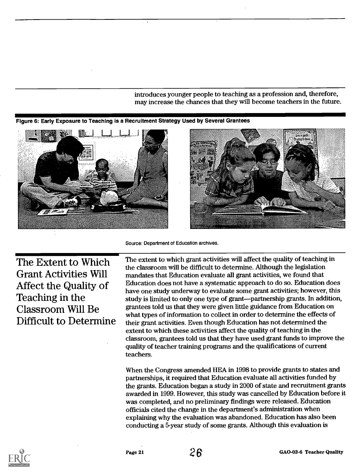introduces younger people to teaching as a profession and, therefore,

may increase the chances that they will become teachers in the future.<br>Figure 6: Early Exposure to Teaching is a Recruitment Strategy Used by Several Grantees





Source: Department of Education archives.

The Extent to Which **Grant Activities Will** Affect the Quality of Teaching in the Classroom Will Be Difficult to Determine

The extent to which grant activities will affect the quality of teaching in the classroom will be difficult to determine. Although the legislation mandates that Education evaluate all grant activities, we found that Education does not have a systematic approach to do so. Education does have one study underway to evaluate some grant activities; however, this study is limited to only one type of grant—partnership grants. In addition, grantees told us that they were given little guidance from Education on what types of information to collect in order to determine the effects of their grant activities. Even though Education has not determined the extent to which these activities affect the quality of teaching in the , to which these activities affect the quality of teaching in the<br>oom, grantees told us that they have used grant funds to improve the quality of teacher training programs and the qualifications of current<br>teachers.

partnerships, it required that Education evaluate all activities funded by When the Congress amended HEA in 1998 to provide grants to states and the grants. Education began a study in 2000 of state and recruitment grants awarded in 1999. However, this study was cancelled by Education before it was completed, and no preliminary findings were released. Education ed the change in the department's administration w icials cited the change in the department's administration when<br>plaining why the evaluation was abandoned. Education has also been onducting a 5-year study of some grants.



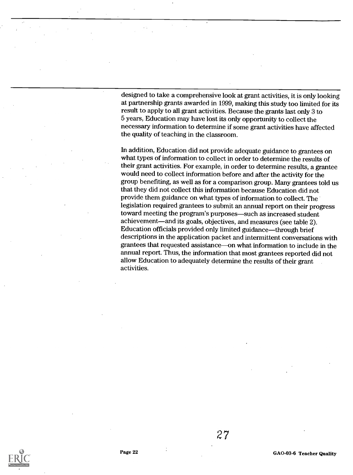designed to take a comprehensive look at grant activities, it is only looking at partnership grants awarded in 1999, making this study too limited for its result to apply to all grant activities. Because the grants last only 3 to 5 years, Education may have lost its only opportunity to collect the necessary information to determine if some grant activities have affected the quality of teaching in the classroom.

In addition, Education did not provide adequate guidance to grantees on what types of information to collect in order to determine the results of their grant activities. For example, in order to determine results, a grantee would need to collect information before and after the activity for the group benefiting, as well as for a comparison group. Many grantees told us that they did not collect this information because Education did not provide them guidance on what types of information to collect. The legislation required grantees to submit an annual report on their progress toward meeting the program's purposes-such as increased student achievement—and its goals, objectives, and measures (see table 2). Education officials provided only limited guidance—through brief descriptions in the application packet and intermittent conversations with grantees that requested assistance—on what information to include in the annual report. Thus, the information that most grantees reported did not allow Education to adequately determine the results of their grant activities.

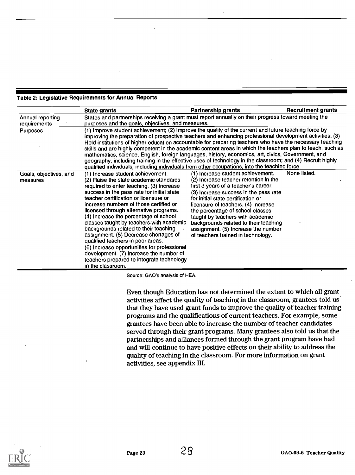#### Table 2: Legislative Requirements for Annual Reports

|                                    | <b>State grants</b>                                                                                                                                                                                                                                                                                                                                                                                                                                                                                                                                                                                                                                                                                                                                             | <b>Partnership grants</b>                                                                                                                                                                                                                                                                                                                                                                                                              | <b>Recruitment grants</b> |
|------------------------------------|-----------------------------------------------------------------------------------------------------------------------------------------------------------------------------------------------------------------------------------------------------------------------------------------------------------------------------------------------------------------------------------------------------------------------------------------------------------------------------------------------------------------------------------------------------------------------------------------------------------------------------------------------------------------------------------------------------------------------------------------------------------------|----------------------------------------------------------------------------------------------------------------------------------------------------------------------------------------------------------------------------------------------------------------------------------------------------------------------------------------------------------------------------------------------------------------------------------------|---------------------------|
| Annual reporting<br>requirements   | States and partnerships receiving a grant must report annually on their progress toward meeting the<br>purposes and the goals, objectives, and measures.                                                                                                                                                                                                                                                                                                                                                                                                                                                                                                                                                                                                        |                                                                                                                                                                                                                                                                                                                                                                                                                                        |                           |
| <b>Purposes</b>                    | (1) Improve student achievement; (2) Improve the quality of the current and future teaching force by<br>improving the preparation of prospective teachers and enhancing professional development activities; (3)<br>Hold institutions of higher education accountable for preparing teachers who have the necessary teaching<br>skills and are highly competent in the academic content areas in which the teachers plan to teach, such as<br>mathematics, science, English, foreign languages, history, economics, art, civics, Government, and<br>geography, including training in the effective uses of technology in the classroom; and (4) Recruit highly<br>qualified individuals, including individuals from other occupations, into the teaching force. |                                                                                                                                                                                                                                                                                                                                                                                                                                        |                           |
| Goals, objectives, and<br>measures | (1) Increase student achievement.<br>(2) Raise the state academic standards<br>required to enter teaching. (3) Increase<br>success in the pass rate for initial state<br>teacher certification or licensure or<br>increase numbers of those certified or<br>licensed through alternative programs.<br>(4) Increase the percentage of school<br>classes taught by teachers with academic<br>backgrounds related to their teaching<br>assignment. (5) Decrease shortages of<br>qualified teachers in poor areas.<br>(6) Increase opportunities for professional<br>development. (7) Increase the number of<br>teachers prepared to integrate technology<br>in the classroom.                                                                                      | (1) Increase student achievement.<br>(2) Increase teacher retention in the<br>first 3 years of a teacher's career.<br>(3) Increase success in the pass rate<br>for initial state certification or<br>licensure of teachers. (4) Increase<br>the percentage of school classes<br>taught by teachers with academic<br>backgrounds related to their teaching<br>assignment. (5) Increase the number<br>of teachers trained in technology. | None listed.              |

Source: GAO's analysis of HEA.

Even though Education has not determined the extent to which all grant activities affect the quality of teaching in the classroom, grantees told us that they have used grant funds to improve the quality of teacher training programs and the qualifications of current teachers. For example, some grantees have been able to increase the number of teacher candidates served through their grant programs. Many grantees also told us that the partnerships and alliances formed through the grant program have had and will continue to have positive effects on their ability to address the quality of teaching in the classroom. For more information on grant activities, see appendix III.

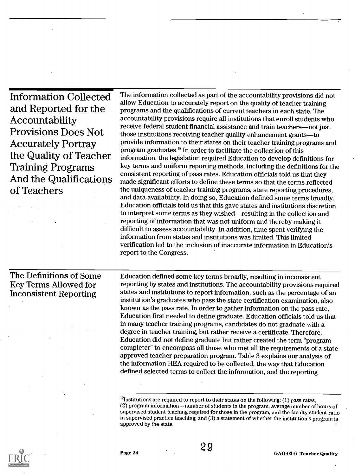Information Collected and Reported for the Accountability Provisions Does Not Accurately Portray the Quality of Teacher Training Programs And the Qualifications of Teachers

The information collected as part of the accountability provisions did not allow Education to accurately report on the quality of teacher training programs and the qualifications of current teachers in each state. The accountability provisions require all institutions that enroll students who receive federal student financial assistance and train teachers-not just those institutions receiving teacher quality enhancement grants-to provide information to their states on their teacher training programs and program graduates.<sup>15</sup> In order to facilitate the collection of this information, the legislation required Education to develop definitions for key terms and uniform reporting methods, including the definitions for the consistent reporting of pass rates. Education officials told us that they made significant efforts to define these terms so that the terms reflected the uniqueness of teacher training programs, state reporting procedures, and data availability. In doing so, Education defined some terms broadly. Education officials told us that this gave states and institutions discretion to interpret some terms as they wished—resulting in the collection and reporting of information that was not uniform and thereby making it difficult to assess accountability. In addition, time spent verifying the information from states and institutions was limited. This limited verification led to the inclusion of inaccurate information in Education's report to the Congress.

The Definitions of Some Key Terms Allowed for Inconsistent Reporting

Education defined some key terms broadly, resulting in inconsistent reporting by states and institutions. The accountability provisions required states and institutions to report information, such as the percentage of an institution's graduates who pass the state certification examination, also known as the pass rate. In order to gather information on the pass rate, Education first needed to define graduate. Education officials told us that in many teacher training programs, candidates do not graduate with a degree in teacher training, but rather receive a certificate. Therefore, Education did not define graduate but rather created the term "program completer" to encompass all those who met all the requirements of a stateapproved teacher preparation program. Table 3 explains our analysis of the information HEA required to be collected, the way that Education defined selected terms to collect the information, and the reporting



 $^{15}$ Institutions are required to report to their states on the following: (1) pass rates, (2) program information—number of students in the program, average number of hours of supervised student teaching required for those in the program, and the faculty-student ratio in supervised practice teaching; and (3) a statement of whether the institution's program is approved by the state.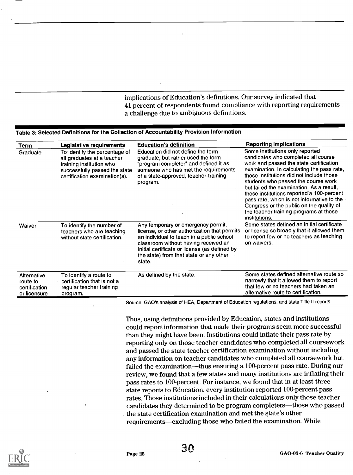implications of Education's definitions. Our survey indicated that 41 percent of respondents found compliance with reporting requirements a challenge due to ambiguous definitions.

### Table 3: Selected Definitions for the Collection of Accountability Provision Information

| Term                                                     | Legislative requirements                                                                                                                                  | <b>Education's definition</b>                                                                                                                                                                                                                                                 | <b>Reporting implications</b>                                                                                                                                                                                                                                                                                                                                                                                                                                                                    |
|----------------------------------------------------------|-----------------------------------------------------------------------------------------------------------------------------------------------------------|-------------------------------------------------------------------------------------------------------------------------------------------------------------------------------------------------------------------------------------------------------------------------------|--------------------------------------------------------------------------------------------------------------------------------------------------------------------------------------------------------------------------------------------------------------------------------------------------------------------------------------------------------------------------------------------------------------------------------------------------------------------------------------------------|
| Graduate                                                 | To identify the percentage of<br>all graduates at a teacher<br>training institution who<br>successfully passed the state<br>certification examination(s). | Education did not define the term<br>graduate, but rather used the term<br>"program completer" and defined it as<br>someone who has met the requirements<br>of a state-approved, teacher-training<br>program.                                                                 | Some institutions only reported<br>candidates who completed all course<br>work and passed the state certification<br>examination. In calculating the pass rate,<br>these institutions did not include those<br>students who passed the course work<br>but failed the examination. As a result,<br>these institutions reported a 100-percent<br>pass rate, which is not informative to the<br>Congress or the public on the quality of<br>the teacher training programs at those<br>institutions. |
| Waiver                                                   | To identify the number of<br>teachers who are teaching<br>without state certification.                                                                    | Any temporary or emergency permit,<br>license, or other authorization that permits<br>an individual to teach in a public school<br>classroom without having received an<br>initial certificate or license (as defined by<br>the state) from that state or any other<br>state. | Some states defined an initial certificate<br>or license so broadly that it allowed them<br>to report few or no teachers as teaching<br>on waivers.                                                                                                                                                                                                                                                                                                                                              |
| Alternative<br>route to<br>certification<br>or licensure | To identify a route to<br>certification that is not a<br>regular teacher training<br>program.                                                             | As defined by the state.                                                                                                                                                                                                                                                      | Some states defined alternative route so<br>narrowly that it allowed them to report<br>that few or no teachers had taken an<br>alternative route to certification.                                                                                                                                                                                                                                                                                                                               |

Source: GAO's analysis of HEA, Department of Education regulations, and state Title II reports.

Thus, using definitions provided by Education, states and institutions could report information that made their programs seem more successful than they might have been. Institutions could inflate their pass rate by reporting only on those teacher candidates who completed all coursework and passed the state teacher certification examination without including any information on teacher candidates who completed all coursework but failed the examination—thus ensuring a 100-percent pass rate. During our review, we found that a few states and many institutions are inflating their pass rates to 100-percent. For instance, we found that in at least three state reports to Education, every institution reported 100-percent pass rates. Those institutions included in their calculations only those teacher candidates they determined to be program completers—those who passed the state certification examination and met the state's other requirements-excluding those who failed the examination. While

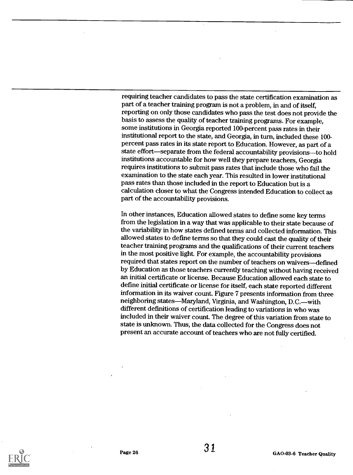requiring teacher candidates to pass the state certification examination as part of a teacher training program is not a problem, in and of itself, reporting on only those candidates who pass the test does not provide the basis to assess the quality of teacher training programs. For example, some institutions in Georgia reported 100-percent pass rates in their institutional report to the state, and Georgia, in turn, included these 100 percent pass rates in its state report to Education. However, as part of a state effort—separate from the federal accountability provisions—to hold institutions accountable for how well they prepare teachers, Georgia requires institutions to submit pass rates that include those who fail the examination to the state each year. This resulted in lower institutional pass rates than those included in the report to Education but is a calculation closer to what the Congress intended Education to collect as part of the accountability provisions.

In other instances, Education allowed states to define some key terms from the legislation in a way that was applicable to their state because of the variability in how states defined terms and collected information. This allowed states to define terms so that they could cast the quality of their teacher training programs and the qualifications of their current teachers in the most positive light. For example, the accountability provisions required that states report on the number of teachers on waivers-defined by Education as those teachers currently teaching without having received an initial certificate or license. Because Education allowed each state to define initial certificate or license for itself, each state reported different information in its waiver count. Figure 7 presents information from three neighboring states—Maryland, Virginia, and Washington, D.C.—with different definitions of certification leading to variations in who was included in their waiver count. The degree of this variation from state to state is unknown. Thus, the data collected for the Congress does not present an accurate account of teachers who are not fully certified.

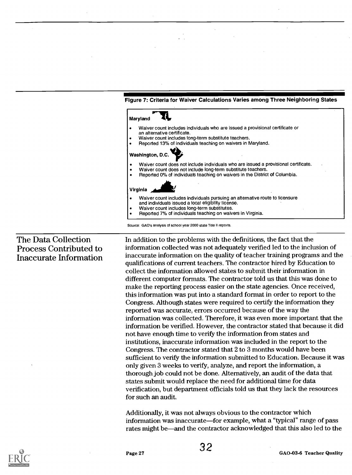

Source: GAO's analysis of school year 2000 state Title II reports.

#### Figure 7: Criteria for Waiver Calculations Varies among Three Neighboring States

### The Data Collection Process Contributed to Inaccurate Information

In addition to the problems with the definitions, the fact that the information collected was not adequately verified led to the inclusion of inaccurate information on the quality of teacher training programs and the qualifications of current teachers. The contractor hired by Education to collect the information allowed states to submit their information in different computer formats. The contractor told us that this was done to make the reporting process easier on the state agencies. Once received, this information was put into a standard format in order to report to the Congress. Although states were required to certify the information they reported was accurate, errors occurred because of the way the information was collected. Therefore, it was even more important that the information be verified. However, the contractor stated that because it did not have enough time to verify the information from states and institutions, inaccurate information was included in the report to the Congress. The contractor stated that 2 to 3 months would have been sufficient to verify the information submitted to Education. Because it was only given 3 weeks to verify, analyze, and report the information, a thorough job could not be done. Alternatively, an audit of the data that states submit would replace the need for additional time for data verification, but department officials told us that they lack the resources for such an audit.

Additionally, it was not always obvious to the contractor which information was inaccurate—for example, what a "typical" range of pass rates might be—and the contractor acknowledged that this also led to the

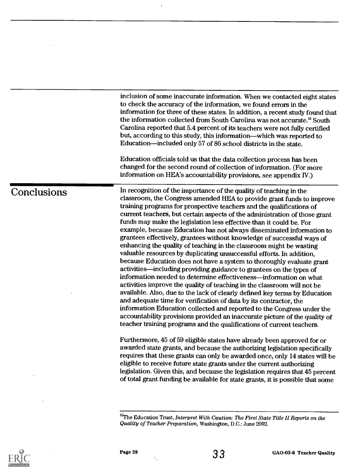inclusion of some inaccurate information. When we contacted eight states to check the accuracy of the information, we found errors in the information for three of these states. In addition, a recent study found that the information collected from South Carolina was not accurate.<sup>16</sup> South Carolina reported that 5.4 percent of its teachers were not fully certified but, according to this study, this information—which was reported to Education—included only 57 of 86 school districts in the state.

Education officials told us that the data collection process has been changed for the second round of collection of information. (For more information on HEA's accountability provisions, see appendix IV.)

Conclusions In recognition of the importance of the quality of teaching in the classroom, the Congress amended HEA to provide grant funds to improve training programs for prospective teachers and the qualifications of current teachers, but certain aspects of the administration of those grant funds may make the legislation less effective than it could be. For example, because Education has not always disseminated information to grantees effectively, grantees without knowledge of successful ways of enhancing the quality of teaching in the classroom might be wasting valuable resources by duplicating unsuccessful efforts. In addition, because Education does not have a system to thoroughly evaluate grant activities—including providing guidance to grantees on the types of information needed to determine effectiveness—information on what activities improve the quality of teaching in the classroom will not be available. Also, due to the lack of clearly defined key terms by Education and adequate time for verification of data by its contractor, the information Education collected and reported to the Congress under the accountability provisions provided an inaccurate picture of the quality of teacher training programs and the qualifications of current teachers.

> Furthermore, 45 of 59 eligible states have already been approved for or awarded state grants, and because the authorizing legislation specifically requires that these grants can only be awarded once, only 14 states will be eligible to receive future state grants under the current authorizing legislation. Given this, and because the legislation requires that 45 percent of total grant funding be available for state grants, it is possible that some





 $16$ The Education Trust, Interpret With Caution: The First State Title II Reports on the Quality of Teacher Preparation, Washington, D.C.: June 2002.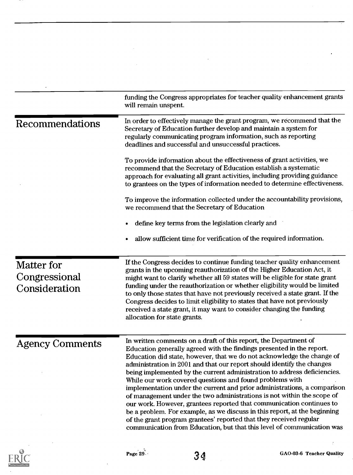| funding the Congress appropriates for teacher quality enhancement grants<br>will remain unspent.                                                                                                                                                                                                                                                                                                                                                                                                                                                                                                                                                                                                                                                                                                                                                                                                 |
|--------------------------------------------------------------------------------------------------------------------------------------------------------------------------------------------------------------------------------------------------------------------------------------------------------------------------------------------------------------------------------------------------------------------------------------------------------------------------------------------------------------------------------------------------------------------------------------------------------------------------------------------------------------------------------------------------------------------------------------------------------------------------------------------------------------------------------------------------------------------------------------------------|
| In order to effectively manage the grant program, we recommend that the<br>Secretary of Education further develop and maintain a system for<br>regularly communicating program information, such as reporting<br>deadlines and successful and unsuccessful practices.                                                                                                                                                                                                                                                                                                                                                                                                                                                                                                                                                                                                                            |
| To provide information about the effectiveness of grant activities, we<br>recommend that the Secretary of Education establish a systematic<br>approach for evaluating all grant activities, including providing guidance<br>to grantees on the types of information needed to determine effectiveness.                                                                                                                                                                                                                                                                                                                                                                                                                                                                                                                                                                                           |
| To improve the information collected under the accountability provisions,<br>we recommend that the Secretary of Education                                                                                                                                                                                                                                                                                                                                                                                                                                                                                                                                                                                                                                                                                                                                                                        |
| define key terms from the legislation clearly and                                                                                                                                                                                                                                                                                                                                                                                                                                                                                                                                                                                                                                                                                                                                                                                                                                                |
| allow sufficient time for verification of the required information.                                                                                                                                                                                                                                                                                                                                                                                                                                                                                                                                                                                                                                                                                                                                                                                                                              |
| If the Congress decides to continue funding teacher quality enhancement<br>grants in the upcoming reauthorization of the Higher Education Act, it<br>might want to clarify whether all 59 states will be eligible for state grant<br>funding under the reauthorization or whether eligibility would be limited<br>to only those states that have not previously received a state grant. If the<br>Congress decides to limit eligibility to states that have not previously<br>received a state grant, it may want to consider changing the funding<br>allocation for state grants.                                                                                                                                                                                                                                                                                                               |
| In written comments on a draft of this report, the Department of<br>Education generally agreed with the findings presented in the report.<br>Education did state, however, that we do not acknowledge the change of<br>administration in 2001 and that our report should identify the changes<br>being implemented by the current administration to address deficiencies.<br>While our work covered questions and found problems with<br>implementation under the current and prior administrations, a comparison<br>of management under the two administrations is not within the scope of<br>our work. However, grantees reported that communication continues to<br>be a problem. For example, as we discuss in this report, at the beginning<br>of the grant program grantees' reported that they received regular<br>communication from Education, but that this level of communication was |
|                                                                                                                                                                                                                                                                                                                                                                                                                                                                                                                                                                                                                                                                                                                                                                                                                                                                                                  |



 $\ddot{\cdot}$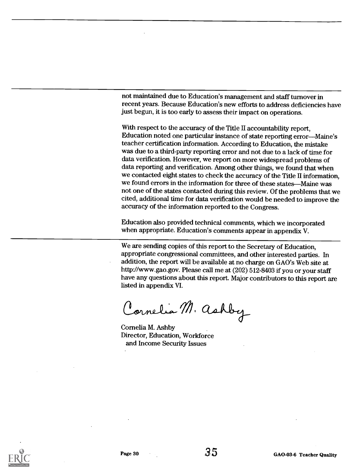not maintained due to Education's management and staff turnover in recent years. Because Education's new efforts to address deficiencies have just begun, it is too early to assess their impact on operations.

With respect to the accuracy of the Title II accountability report, Education noted one particular instance of state reporting error-Maine's teacher certification information. According to Education, the mistake was due to a third-party reporting error and not due to a lack of time for data verification. However, we report on more widespread problems of data reporting and verification. Among other things, we found that when we contacted eight states to check the accuracy of the Title II information, we found errors in the information for three of these states-Maine was not one of the states contacted during this review. Of the problems that we cited, additional time for data verification would be needed to improve the accuracy of the information reported to the Congress.

Education also provided technical comments, which we incorporated when appropriate. Education's comments appear in appendix V.

We are sending copies of this report to the Secretary of Education, appropriate congressional committees, and other interested parties. In addition, the report will be available at no charge on GAO's Web site at http://www.gao.gov. Please call me at (202) 512-8403 if you or your staff have any questions about this report. Major contributors to this report are listed in appendix VI.

Cornelia M. Ashby

Cornelia M. Ashby Director, Education, Workforce and Income Security Issues

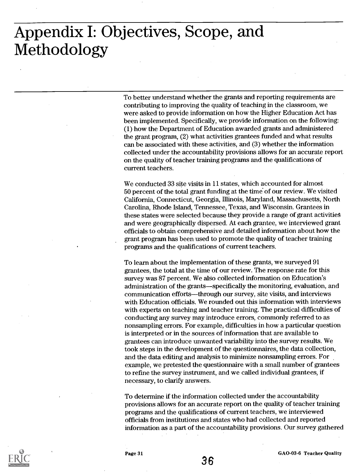## Appendix I: Objectives, Scope, and Methodology

To better understand whether the grants and reporting requirements are contributing to improving the quality of teaching in the classroom, we were asked to provide information on how the Higher Education Act has been implemented. Specifically, we provide information on the following: (1) how the Department of Education awarded grants and administered the grant program, (2) what activities grantees funded and what results can be associated with these activities, and (3) whether the information collected under the accountability provisions allows for an accurate report on the quality of teacher training programs and the qualifications of current teachers.

We conducted 33 site visits in 11 states, which accounted for almost 50 percent of the total grant funding at the time of our review. We visited California, Connecticut, Georgia, Illinois, Maryland, Massachusetts, North Carolina, Rhode Island, Tennessee, Texas, and Wisconsin. Grantees in these states were selected because they provide a range of grant activities and were geographically dispersed. At each grantee, we interviewed grant officials to obtain comprehensive and detailed information about how the grant program has been used to promote the quality of teacher training programs and the qualifications of current teachers.

To learn about the implementation of these grants, we surveyed 91 grantees, the total at the time of our review. The response rate for this survey was 87 percent. We also collected information on Education's administration of the grants-specifically the monitoring, evaluation, and communication efforts-through our survey, site visits, and interviews with Education officials. We rounded out this information with interviews with experts on teaching and teacher training. The practical difficulties of conducting any survey may introduce errors, commonly referred to as nonsampling errors. For example, difficulties in how a particular question is interpreted or in the sources of information that are available to grantees can introduce unwanted variability into the survey results. We took steps in the development of the questionnaires, the data collection, and the data editing and analysis to minimize nonsampling errors. For example, we pretested the questionnaire with a small number of grantees to refine the survey instrument, and we called individual grantees, if necessary, to clarify answers.

To determine if the information collected under the accountability provisions allows for an accurate report on the quality of teacher training programs and the qualifications of current teachers, we interviewed officials from institutions and states who had collected and reported information as a part of the accountability provisions. Our survey gathered



GAO-03-6 Teacher Quality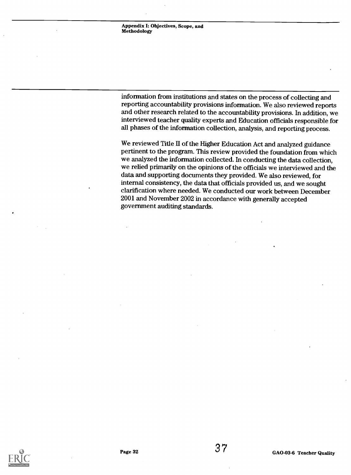information from institutions and states on the process of collecting and reporting accountability provisions information. We also reviewed reports and other research related to the accountability provisions. In addition, we interviewed teacher quality experts and Education officials responsible for all phases of the information collection, analysis, and reporting process.

We reviewed Title II of the Higher Education Act and analyzed guidance pertinent to the program. This review provided the foundation from which we analyzed the information collected. In conducting the data collection, we relied primarily on the opinions of the officials we interviewed and the data and supporting documents they provided. We also reviewed, for internal consistency, the data that officials provided us, and we sought clarification where needed. We conducted our work between December 2001 and November 2002 in accordance with generally accepted government auditing standards.

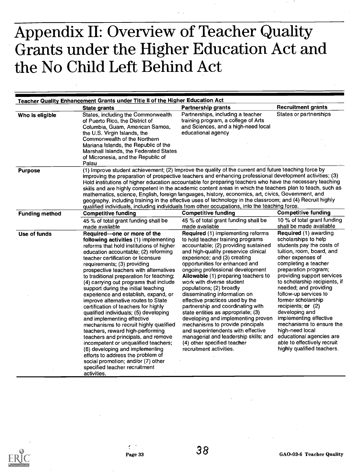# Appendix II: Overview of Teacher Quality Grants under the Higher Education Act and the No Child Left Behind Act

|                       | Teacher Quality Enhancement Grants under Title II of the Higher Education Act                                                                                                                                                                                                                                                                                                                                                                                                                                                                                                                                                                                                                                                                                                                                                                                                                                                 |                                                                                                                                                                                                                                                                                                                                                                                                                                                                                                                                                                                                                                                                                                                               |                                                                                                                                                                                                                                                                                                                                                                                                                                                                                                                                 |
|-----------------------|-------------------------------------------------------------------------------------------------------------------------------------------------------------------------------------------------------------------------------------------------------------------------------------------------------------------------------------------------------------------------------------------------------------------------------------------------------------------------------------------------------------------------------------------------------------------------------------------------------------------------------------------------------------------------------------------------------------------------------------------------------------------------------------------------------------------------------------------------------------------------------------------------------------------------------|-------------------------------------------------------------------------------------------------------------------------------------------------------------------------------------------------------------------------------------------------------------------------------------------------------------------------------------------------------------------------------------------------------------------------------------------------------------------------------------------------------------------------------------------------------------------------------------------------------------------------------------------------------------------------------------------------------------------------------|---------------------------------------------------------------------------------------------------------------------------------------------------------------------------------------------------------------------------------------------------------------------------------------------------------------------------------------------------------------------------------------------------------------------------------------------------------------------------------------------------------------------------------|
|                       | <b>State grants</b>                                                                                                                                                                                                                                                                                                                                                                                                                                                                                                                                                                                                                                                                                                                                                                                                                                                                                                           | <b>Partnership grants</b>                                                                                                                                                                                                                                                                                                                                                                                                                                                                                                                                                                                                                                                                                                     | <b>Recruitment grants</b>                                                                                                                                                                                                                                                                                                                                                                                                                                                                                                       |
| Who is eligible       | States, including the Commonwealth<br>of Puerto Rico, the District of<br>Columbia, Guam, American Samoa,<br>the U.S. Virgin Islands, the<br>Commonwealth of the Northern<br>Mariana Islands, the Republic of the<br>Marshall Islands, the Federated States<br>of Micronesia, and the Republic of<br>Palau                                                                                                                                                                                                                                                                                                                                                                                                                                                                                                                                                                                                                     | Partnerships, including a teacher<br>training program, a college of Arts<br>and Sciences, and a high-need local<br>educational agency                                                                                                                                                                                                                                                                                                                                                                                                                                                                                                                                                                                         | States or partnerships                                                                                                                                                                                                                                                                                                                                                                                                                                                                                                          |
| <b>Purpose</b>        | (1) Improve student achievement; (2) Improve the quality of the current and future teaching force by<br>improving the preparation of prospective teachers and enhancing professional development activities; (3)<br>Hold institutions of higher education accountable for preparing teachers who have the necessary teaching<br>skills and are highly competent in the academic content areas in which the teachers plan to teach, such as<br>mathematics, science, English, foreign languages, history, economics, art, civics, Government, and<br>geography, including training in the effective uses of technology in the classroom; and (4) Recruit highly<br>qualified individuals, including individuals from other occupations, into the teaching force.                                                                                                                                                               |                                                                                                                                                                                                                                                                                                                                                                                                                                                                                                                                                                                                                                                                                                                               |                                                                                                                                                                                                                                                                                                                                                                                                                                                                                                                                 |
| <b>Funding method</b> | <b>Competitive funding</b>                                                                                                                                                                                                                                                                                                                                                                                                                                                                                                                                                                                                                                                                                                                                                                                                                                                                                                    | <b>Competitive funding</b>                                                                                                                                                                                                                                                                                                                                                                                                                                                                                                                                                                                                                                                                                                    | <b>Competitive funding</b>                                                                                                                                                                                                                                                                                                                                                                                                                                                                                                      |
|                       | 45 % of total grant funding shall be<br>made available                                                                                                                                                                                                                                                                                                                                                                                                                                                                                                                                                                                                                                                                                                                                                                                                                                                                        | 45 % of total grant funding shall be<br>made available                                                                                                                                                                                                                                                                                                                                                                                                                                                                                                                                                                                                                                                                        | 10 % of total grant funding<br>shall be made available                                                                                                                                                                                                                                                                                                                                                                                                                                                                          |
| Use of funds          | Required-one or more of the<br>following activities (1) implementing<br>reforms that hold institutions of higher<br>education accountable; (2) reforming<br>teacher certification or licensure<br>requirements; (3) providing<br>prospective teachers with alternatives<br>to traditional preparation for teaching;<br>(4) carrying out programs that include<br>support during the initial teaching<br>experience and establish, expand, or<br>improve alternative routes to State<br>certification of teachers for highly<br>qualified individuals; (5) developing<br>and implementing effective<br>mechanisms to recruit highly qualified<br>teachers, reward high-performing<br>teachers and principals, and remove<br>incompetent or unqualified teachers;<br>(6) developing and implementing<br>efforts to address the problem of<br>social promotion; and/or (7) other<br>specified teacher recruitment<br>activities. | Required (1) implementing reforms<br>to hold teacher training programs<br>accountable; (2) providing sustained<br>and high-quality preservice clinical<br>experience; and (3) creating<br>opportunities for enhanced and<br>ongoing professional development<br>Allowable (1) preparing teachers to<br>work with diverse student<br>populations; (2) broadly<br>disseminating information on<br>effective practices used by the<br>partnership and coordinating with<br>state entities as appropriate; (3)<br>developing and implementing proven<br>mechanisms to provide principals<br>and superintendents with effective<br>managerial and leadership skills; and<br>(4) other specified teacher<br>recruitment activities. | Required (1) awarding<br>scholarships to help<br>students pay the costs of<br>tuition, room, board, and<br>other expenses of<br>completing a teacher<br>preparation program;<br>providing support services<br>to scholarship recipients, if<br>needed; and providing<br>follow-up services to<br>former scholarship<br>recipients; or $(2)$<br>developing and<br>implementing effective<br>mechanisms to ensure the<br>high-need local<br>educational agencies are<br>able to effectively recruit<br>highly qualified teachers. |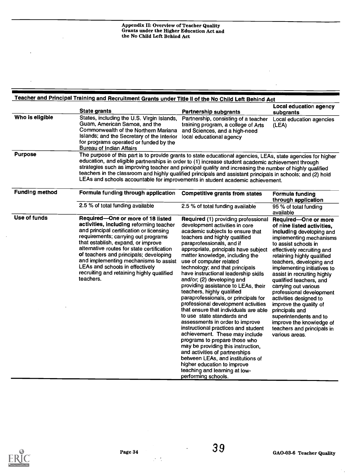|                       | <b>State grants</b>                                                                                                                                                                                                                                                                                                                                                                                                                                                                                                             | <b>Partnership subgrants</b>                                                                                                                                                                                                                                                                                                                                                                                                                                                                                                                                                                                                                                                                                                                                                                                                                                                                                                                                       | Local education agency<br>subgrants                                                                                                                                                                                                                                                                                                                                                                                                                                                                                                                |
|-----------------------|---------------------------------------------------------------------------------------------------------------------------------------------------------------------------------------------------------------------------------------------------------------------------------------------------------------------------------------------------------------------------------------------------------------------------------------------------------------------------------------------------------------------------------|--------------------------------------------------------------------------------------------------------------------------------------------------------------------------------------------------------------------------------------------------------------------------------------------------------------------------------------------------------------------------------------------------------------------------------------------------------------------------------------------------------------------------------------------------------------------------------------------------------------------------------------------------------------------------------------------------------------------------------------------------------------------------------------------------------------------------------------------------------------------------------------------------------------------------------------------------------------------|----------------------------------------------------------------------------------------------------------------------------------------------------------------------------------------------------------------------------------------------------------------------------------------------------------------------------------------------------------------------------------------------------------------------------------------------------------------------------------------------------------------------------------------------------|
| Who is eligible       | States, including the U.S. Virgin Islands,<br>Guam, American Samoa, and the<br>Commonwealth of the Northern Mariana<br>Islands; and the Secretary of the Interior<br>for programs operated or funded by the<br><b>Bureau of Indian Affairs</b>                                                                                                                                                                                                                                                                                  | Partnership, consisting of a teacher<br>training program, a college of Arts<br>and Sciences, and a high-need<br>local educational agency                                                                                                                                                                                                                                                                                                                                                                                                                                                                                                                                                                                                                                                                                                                                                                                                                           | Local education agencies<br>(LEA)                                                                                                                                                                                                                                                                                                                                                                                                                                                                                                                  |
| <b>Purpose</b>        | The purpose of this part is to provide grants to state educational agencies, LEAs, state agencies for higher<br>education, and eligible partnerships in order to (1) increase student academic achievement through<br>strategies such as improving teacher and principal quality and increasing the number of highly qualified<br>teachers in the classroom and highly qualified principals and assistant principals in schools; and (2) hold<br>LEAs and schools accountable for improvements in student academic achievement. |                                                                                                                                                                                                                                                                                                                                                                                                                                                                                                                                                                                                                                                                                                                                                                                                                                                                                                                                                                    |                                                                                                                                                                                                                                                                                                                                                                                                                                                                                                                                                    |
| <b>Funding method</b> | Formula funding through application                                                                                                                                                                                                                                                                                                                                                                                                                                                                                             | <b>Competitive grants from states</b>                                                                                                                                                                                                                                                                                                                                                                                                                                                                                                                                                                                                                                                                                                                                                                                                                                                                                                                              | <b>Formula funding</b><br>through application                                                                                                                                                                                                                                                                                                                                                                                                                                                                                                      |
|                       | 2.5 % of total funding available                                                                                                                                                                                                                                                                                                                                                                                                                                                                                                | 2.5 % of total funding available                                                                                                                                                                                                                                                                                                                                                                                                                                                                                                                                                                                                                                                                                                                                                                                                                                                                                                                                   | 95 % of total funding<br>available                                                                                                                                                                                                                                                                                                                                                                                                                                                                                                                 |
| Use of funds          | Required-One or more of 18 listed<br>activities, including reforming teacher<br>and principal certification or licensing<br>requirements; carrying out programs<br>that establish, expand, or improve<br>alternative routes for state certification<br>of teachers and principals; developing<br>and implementing mechanisms to assist<br>LEAs and schools in effectively<br>recruiting and retaining highly qualified<br>teachers.                                                                                             | Required (1) providing professional<br>development activities in core<br>academic subjects to ensure that<br>teachers and highly qualified<br>paraprofessionals, and if<br>appropriate, principals have subject<br>matter knowledge, including the<br>use of computer related<br>technology; and that principals<br>have instructional leadership skills<br>and/or; (2) developing and<br>providing assistance to LEAs, their<br>teachers, highly qualified<br>paraprofessionals, or principals for<br>professional development activities<br>that ensure that individuals are able<br>to use state standards and<br>assessments in order to improve<br>instructional practices and student<br>achievement. These may include<br>programs to prepare those who<br>may be providing this instruction,<br>and activities of partnerships<br>between LEAs, and institutions of<br>higher education to improve<br>teaching and learning at low-<br>performing schools. | Required-One or more<br>of nine listed activities,<br>including developing and<br>implementing mechanisms<br>to assist schools in<br>effectively recruiting and<br>retaining highly qualified<br>teachers, developing and<br>implementing initiatives to<br>assist in recruiting highly<br>qualified teachers, and<br>carrying out various<br>professional development<br>activities designed to<br>improve the quality of<br>principals and<br>superintendents and to<br>improve the knowledge of<br>teachers and principals in<br>various areas. |



 $\mathcal{F}_{\mathcal{A}}$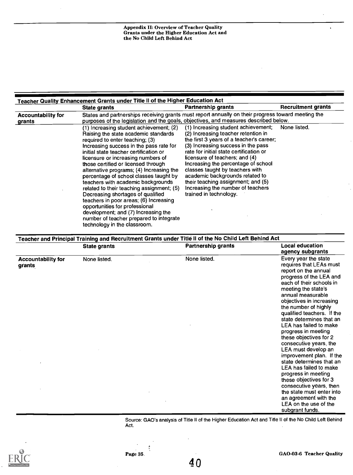|                                     | Teacher Quality Enhancement Grants under Title II of the Higher Education Act                                                                                                                                                                                                                                                                                                                                                                                                                                                                                                                                                                                                                    |                                                                                                                                                                                                                                                                                                                                                                                                                                                             |                           |
|-------------------------------------|--------------------------------------------------------------------------------------------------------------------------------------------------------------------------------------------------------------------------------------------------------------------------------------------------------------------------------------------------------------------------------------------------------------------------------------------------------------------------------------------------------------------------------------------------------------------------------------------------------------------------------------------------------------------------------------------------|-------------------------------------------------------------------------------------------------------------------------------------------------------------------------------------------------------------------------------------------------------------------------------------------------------------------------------------------------------------------------------------------------------------------------------------------------------------|---------------------------|
|                                     | State grants                                                                                                                                                                                                                                                                                                                                                                                                                                                                                                                                                                                                                                                                                     | Partnership grants                                                                                                                                                                                                                                                                                                                                                                                                                                          | <b>Recruitment grants</b> |
| <b>Accountability for</b><br>grants | States and partnerships receiving grants must report annually on their progress toward meeting the<br>purposes of the legislation and the goals, objectives, and measures described below.                                                                                                                                                                                                                                                                                                                                                                                                                                                                                                       |                                                                                                                                                                                                                                                                                                                                                                                                                                                             |                           |
|                                     | (1) Increasing student achievement; (2)<br>Raising the state academic standards<br>required to enter teaching; (3)<br>Increasing success in the pass rate for<br>initial state teacher certification or<br>licensure or increasing numbers of<br>those certified or licensed through<br>alternative programs; (4) Increasing the<br>percentage of school classes taught by<br>teachers with academic backgrounds<br>related to their teaching assignment; (5)<br>Decreasing shortages of qualified<br>teachers in poor areas; (6) Increasing<br>opportunities for professional<br>development; and (7) Increasing the<br>number of teacher prepared to integrate<br>technology in the classroom. | (1) Increasing student achievement;<br>(2) Increasing teacher retention in<br>the first 3 years of a teacher's career;<br>(3) Increasing success in the pass<br>rate for initial state certification or<br>licensure of teachers; and (4)<br>Increasing the percentage of school<br>classes taught by teachers with<br>academic backgrounds related to<br>their teaching assignment; and (5)<br>Increasing the number of teachers<br>trained in technology. | None listed.              |

| Teacher and Principal Training and Recruitment Grants under Title II of the No Child Left Behind Act |                     |                           |                                                                                                                                                                                                                                                                                                                                                                     |
|------------------------------------------------------------------------------------------------------|---------------------|---------------------------|---------------------------------------------------------------------------------------------------------------------------------------------------------------------------------------------------------------------------------------------------------------------------------------------------------------------------------------------------------------------|
|                                                                                                      | <b>State grants</b> | <b>Partnership grants</b> | <b>Local education</b><br>agency subgrants                                                                                                                                                                                                                                                                                                                          |
| <b>Accountability for</b><br>grants                                                                  | None listed.        | None listed.              | Every year the state<br>requires that LEAs must<br>report on the annual<br>progress of the LEA and<br>each of their schools in<br>meeting the state's<br>annual measurable<br>objectives in increasing<br>the number of highly<br>qualified teachers. If the<br>state determines that an<br>LEA has failed to make<br>progress in meeting<br>these objectives for 2 |
|                                                                                                      |                     |                           | consecutive years, the<br>LEA must develop an<br>improvement plan. If the                                                                                                                                                                                                                                                                                           |
|                                                                                                      |                     |                           | state determines that an<br>LEA has failed to make<br>progress in meeting<br>these objectives for 3<br>consecutive years, then<br>the state must enter into<br>an agreement with the<br>LEA on the use of the<br>subgrant funds.                                                                                                                                    |

Source: GAO's analysis of Title II of the Higher Education Act and Title II of the No Child Left Behind Act.  $\bar{a}$ 



÷

 $\ddot{\phantom{a}}$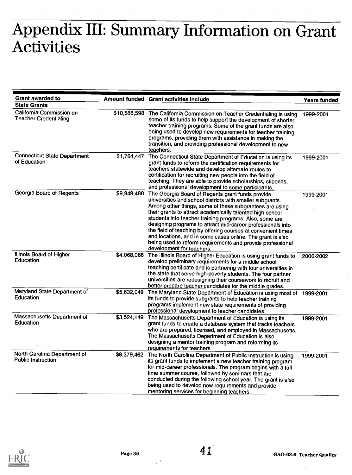# Appendix III: Summary Information on Grant Activities

| <b>Grant awarded to</b>                                   |             | Amount funded Grant activities include                                                                                                                                                                                                                                                                                                                                                                                                                                                                                                                                                    | <b>Years funded</b> |
|-----------------------------------------------------------|-------------|-------------------------------------------------------------------------------------------------------------------------------------------------------------------------------------------------------------------------------------------------------------------------------------------------------------------------------------------------------------------------------------------------------------------------------------------------------------------------------------------------------------------------------------------------------------------------------------------|---------------------|
| <b>State Grants</b>                                       |             |                                                                                                                                                                                                                                                                                                                                                                                                                                                                                                                                                                                           |                     |
| Califomia Commission on<br><b>Teacher Credentialing</b>   |             | \$10,588,598 The Califomia Commission on Teacher Credentialing is using<br>some of its funds to help support the development of shorter<br>teacher training programs. Some of the grant funds are also<br>being used to develop new requirements for teacher training<br>programs, providing them with assistance in making the<br>transition, and providing professional development to new<br>teachers.                                                                                                                                                                                 | 1999-2001           |
| <b>Connecticut State Department</b><br>of Education       | \$1,764,447 | The Connecticut State Department of Education is using its<br>grant funds to reform the certification requirements for<br>teachers statewide and develop altemate routes to<br>certification for recruiting new people into the field of<br>teaching. They are able to provide scholarships, stipends,<br>and professional development to some participants.                                                                                                                                                                                                                              | 1999-2001           |
| Georgia Board of Regents                                  | \$9,949,480 | The Georgia Board of Regents grant funds provide<br>universities and school districts with smaller subgrants.<br>Among other things, some of these subgrantees are using<br>their grants to attract academically talented high school<br>students into teacher training programs. Also, some are<br>designing programs to attract mid-career professionals into<br>the field of teaching by offering courses at convenient times<br>and locations, and in some cases online. The grant is also<br>being used to reform requirements and provide professional<br>development for teachers. | 1999-2001           |
| Illinois Board of Higher<br>Education                     | \$4,068,086 | The Illinois Board of Higher Education is using grant funds to<br>develop preliminary requirements for a middle school<br>teaching certificate and is partnering with four universities in<br>the state that serve high-poverty students. The four partner<br>universities are redesigning their coursework to recruit and<br>better prepare teacher candidates for the middle grades.                                                                                                                                                                                                    | 2000-2002           |
| Maryland State Department of<br>Education                 | \$5,632,049 | The Maryland State Department of Education is using most of 1999-2001<br>its funds to provide subgrants to help teacher training<br>programs implement new state requirements of providing<br>professional development to teacher candidates.                                                                                                                                                                                                                                                                                                                                             |                     |
| Massachusetts Department of<br>Education                  | \$3,524,149 | The Massachusetts Department of Education is using its<br>grant funds to create a database system that tracks teachers<br>who are prepared, licensed, and employed in Massachusetts.<br>The Massachusetts Department of Education is also<br>designing a mentor training program and reforming its<br>requirements for teachers.                                                                                                                                                                                                                                                          | 1999-2001           |
| North Carolina Department of<br><b>Public Instruction</b> | \$8,379,462 | The North Carolina Department of Public Instruction is using<br>its grant funds to implement a new teacher training program<br>for mid-career professionals. The program begins with a full-<br>time summer course, followed by seminars that are<br>conducted during the following school year. The grant is also<br>being used to develop new requirements and provide<br>mentoring services for beginning teachers.                                                                                                                                                                    | 1999-2001           |



 $\mathcal{L}^{\mathcal{L}}$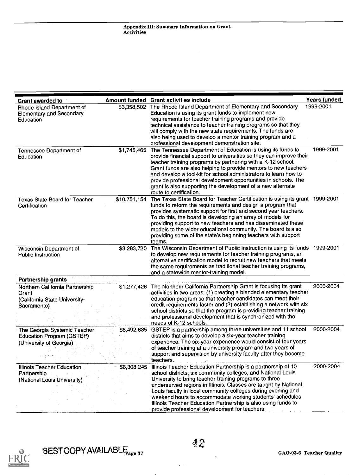| <b>Grant awarded to</b>                                                                  | <b>Amount funded</b> | <b>Grant activities include</b>                                                                                                                                                                                                                                                                                                                                                                                                                                                                                        | <b>Years funded</b> |
|------------------------------------------------------------------------------------------|----------------------|------------------------------------------------------------------------------------------------------------------------------------------------------------------------------------------------------------------------------------------------------------------------------------------------------------------------------------------------------------------------------------------------------------------------------------------------------------------------------------------------------------------------|---------------------|
| Rhode Island Department of<br><b>Elementary and Secondary</b><br>Education               | \$3,358,502          | The Rhode Island Department of Elementary and Secondary<br>Education is using its grant funds to implement new<br>requirements for teacher training programs and provide<br>technical assistance to teacher training programs so that they<br>will comply with the new state requirements. The funds are<br>also being used to develop a mentor training program and a<br>professional development demonstration site.                                                                                                 | 1999-2001           |
| Tennessee Department of<br>Education                                                     | \$1,745,465          | The Tennessee Department of Education is using its funds to<br>provide financial support to universities so they can improve their<br>teacher training programs by partnering with a K-12 school.<br>Grant funds are also helping to provide mentors to new teachers<br>and develop a tool-kit for school administrators to learn how to<br>provide professional development opportunities in schools. The<br>grant is also supporting the development of a new alternate<br>route to certification.                   | 1999-2001           |
| <b>Texas State Board for Teacher</b><br>Certification                                    | \$10,751,154         | The Texas State Board for Teacher Certification is using its grant 1999-2001<br>funds to reform the requirements and design a program that<br>provides systematic support for first and second year teachers.<br>To do this, the board is developing an array of models for<br>providing support to new teachers and has disseminated these<br>models to the wider educational community. The board is also<br>providing some of the state's beginning teachers with support<br>teams.                                 |                     |
| Wisconsin Department of<br><b>Public Instruction</b>                                     | \$3,283,720          | The Wisconsin Department of Public Instruction is using its funds 1999-2001<br>to develop new requirements for teacher training programs, an<br>alternative certification model to recruit new teachers that meets<br>the same requirements as traditional teacher training programs,<br>and a statewide mentor-training model.                                                                                                                                                                                        |                     |
| Partnership grants                                                                       |                      |                                                                                                                                                                                                                                                                                                                                                                                                                                                                                                                        |                     |
| Northern California Partnership<br>Grant<br>(California State University-<br>Sacramento) |                      | \$1,277,426 The Northern California Partnership Grant is focusing its grant<br>activities in two areas: (1) creating a blended elementary teacher<br>education program so that teacher candidates can meet their<br>credit requirements faster and (2) establishing a network with six<br>school districts so that the program is providing teacher training<br>and professional development that is synchronized with the<br>needs of K-12 schools.                                                                   | 2000-2004           |
| The Georgia Systemic Teacher<br>Education Program (GSTEP)<br>(University of Georgia)     |                      | \$6,492,635 GSTEP is a partnership among three universities and 11 school<br>districts that aims to develop a six-year teacher training<br>experience. The six-year experience would consist of four years<br>of teacher training at a university program and two years of<br>support and supervision by university faculty after they become<br>teachers.                                                                                                                                                             | 2000-2004           |
| <b>Illinois Teacher Education</b><br>Partnership<br>(National Louis University)          |                      | \$6,308,245 Illinois Teacher Education Partnership is a partnership of 10<br>school districts, six community colleges, and National Louis<br>University to bring teacher-training programs to three<br>underserved regions in Illinois. Classes are taught by National<br>Louis faculty in local community colleges during evening and<br>weekend hours to accommodate working students' schedules.<br>Illinois Teacher Education Partnership is also using funds to<br>provide professional development for teachers. | 2000-2004           |



 $\overline{a}$ 

 $\ddot{\phantom{a}}$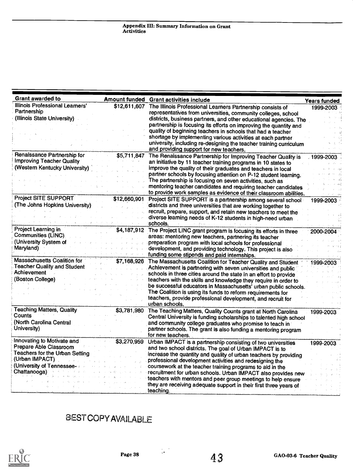| <b>Grant awarded to</b>                                                                                                                                     |                             | Amount funded Grant activities include                                                                                                                                                                                                                                                                                                                                                                                                                                                                                                                                               | <b>Years funded</b>     |
|-------------------------------------------------------------------------------------------------------------------------------------------------------------|-----------------------------|--------------------------------------------------------------------------------------------------------------------------------------------------------------------------------------------------------------------------------------------------------------------------------------------------------------------------------------------------------------------------------------------------------------------------------------------------------------------------------------------------------------------------------------------------------------------------------------|-------------------------|
| Illinois Professional Learners'<br>Partnership<br>(Illinois State University)<br>Renaissance Partnership for                                                | \$12,611,607<br>\$5,711,847 | The Illinois Professional Learners Partnership consists of<br>representatives from universities, community colleges, school<br>districts, business partners, and other educational agencies. The<br>partnership is focusing its efforts on improving the quantity and<br>quality of beginning teachers in schools that had a teacher<br>shortage by implementing various activities at each partner<br>university, including re-designing the teacher training curriculum<br>and providing support for new teachers.<br>The Renaissance Partnership for Improving Teacher Quality is | 1999-2003<br>1999-2003. |
| <b>Improving Teacher Quality</b><br>(Western Kentucky University)                                                                                           |                             | an initiative by 11 teacher training programs in 10 states to<br>improve the quality of their graduates and teachers in local<br>partner schools by focusing attention on P-12 student learning.<br>The partnership is focusing on seven activities, such as<br>mentoring teacher candidates and requiring teacher candidates.<br>to provide work samples as evidence of their classroom abilities.                                                                                                                                                                                  |                         |
| <b>Project SITE SUPPORT</b><br>(The Johns Hopkins University)                                                                                               | \$12,660,901                | Project SITE SUPPORT is a partnership among several school<br>districts and three universities that are working together to<br>recruit, prepare, support, and retain new teachers to meet the<br>diverse learning needs of K-12 students in high-need urban<br>schools.                                                                                                                                                                                                                                                                                                              | 1999-2003               |
| Project Learning in<br>Communities (LINC)<br>(University System of<br>Maryland)                                                                             | \$4,187,912                 | The Project LINC grant program is focusing its efforts in three<br>areas: mentoring new teachers, partnering its teacher<br>preparation program with local schools for professional<br>development, and providing technology. This project is also<br>funding some stipends and paid internships.                                                                                                                                                                                                                                                                                    | 2000-2004               |
| <b>Massachusetts Coalition for</b><br><b>Teacher Quality and Student</b><br>Achievement<br>(Boston College)                                                 | \$7,168,926                 | The Massachusetts Coalition for Teacher Quality and Student<br>Achievement is partnering with seven universities and public<br>schools in three cities around the state in an effort to provide<br>teachers with the skills and knowledge they require in order to<br>be successful educators in Massachusetts' urban public schools.<br>The Coalition is using its funds to reform requirements for<br>teachers, provide professional development, and recruit for<br>urban schools.                                                                                                | 1999-2003               |
| <b>Teaching Matters, Quality</b><br>Counts<br>(North Carolina Central<br>University)                                                                        | \$3,781,980                 | The Teaching Matters, Quality Counts grant at North Carolina<br>Central University is funding scholarships to talented high school<br>and community college graduates who promise to teach in<br>partner schools. The grant is also funding a mentoring program<br>for new teachers.                                                                                                                                                                                                                                                                                                 | 1999-2003               |
| Innovating to Motivate and<br>Prepare Able Classroom<br><b>Teachers for the Urban Setting</b><br>(Urban IMPACT)<br>(University of Tennessee<br>Chattanooga) | \$3,270,959                 | Urban IMPACT is a partnership consisting of two universities<br>and two school districts. The goal of Urban IMPACT is to<br>increase the quantity and quality of urban teachers by providing<br>professional development activities and redesigning the<br>coursework at the teacher training programs to aid in the<br>recruitment for urban schools. Urban IMPACT also provides new<br>teachers with mentors and peer group meetings to help ensure<br>they are receiving adequate support in their first three years of<br>teaching.                                              | 1999-2003               |

### BEST COPY AVAILABLE

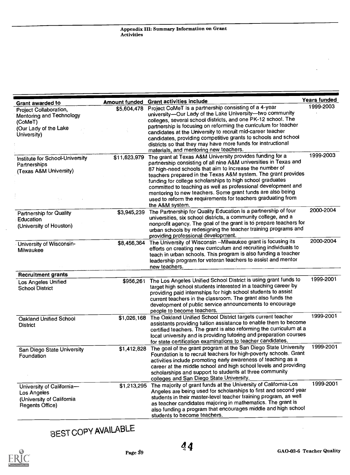| <b>Grant awarded to</b>                                                                               | <b>Amount funded</b> | <b>Grant activities include</b>                                                                                                                                                                                                                                                                                                                                                                                                                                                                                                         | Years funded |
|-------------------------------------------------------------------------------------------------------|----------------------|-----------------------------------------------------------------------------------------------------------------------------------------------------------------------------------------------------------------------------------------------------------------------------------------------------------------------------------------------------------------------------------------------------------------------------------------------------------------------------------------------------------------------------------------|--------------|
| Project Collaboration,<br>Mentoring and Technology<br>(CoMeT)<br>(Our Lady of the Lake<br>University) | \$5,604,478          | Project CoMeT is a partnership consisting of a 4-year<br>university-Our Lady of the Lake University-two community<br>colleges, several school districts, and one PK-12 school. The<br>partnership is focusing on reforming the curriculum for teacher<br>candidates at the University to recruit mid-career teacher<br>candidates, providing competitive grants to schools and school<br>districts so that they may have more funds for instructional<br>materials, and mentoring new teachers.                                         | 1999-2003    |
| Institute for School-University<br>Partnerships<br>(Texas A&M University)                             | \$11,623,979         | The grant at Texas A&M University provides funding for a<br>partnership consisting of all nine A&M universities in Texas and<br>87 high-need schools that aim to increase the number of<br>teachers prepared in the Texas A&M system. The grant provides<br>funding for college scholarships to high school graduates<br>committed to teaching as well as professional development and<br>mentoring to new teachers. Some grant funds are also being<br>used to reform the requirements for teachers graduating from<br>the A&M system. | 1999-2003    |
| <b>Partnership for Quality</b><br>Education<br>(University of Houston)                                | \$3,945,239          | The Partnership for Quality Education is a partnership of four<br>universities, six school districts, a community college, and a<br>nonprofit agency. The goal of the grant is to prepare teachers for<br>urban schools by redesigning the teacher training programs and<br>providing professional development.                                                                                                                                                                                                                         | 2000-2004    |
| University of Wisconsin-<br>Milwaukee                                                                 | \$8,456,364          | The University of Wisconsin -- Milwaukee grant is focusing its<br>efforts on creating new curriculum and recruiting individuals to<br>teach in urban schools. This program is also funding a teacher<br>leadership program for veteran teachers to assist and mentor<br>new teachers.                                                                                                                                                                                                                                                   | 2000-2004    |
| <b>Recruitment grants</b>                                                                             |                      |                                                                                                                                                                                                                                                                                                                                                                                                                                                                                                                                         |              |
| Los Angeles Unified<br><b>School District</b>                                                         | \$956,261            | The Los Angeles Unified School District is using grant funds to<br>target high school students interested in a teaching career by<br>providing paid internships for high school students to assist<br>current teachers in the classroom. The grant also funds the<br>development of public service announcements to encourage<br>people to become teachers.                                                                                                                                                                             | 1999-2001    |
| <b>Oakland Unified School</b><br><b>District</b>                                                      | \$1,026,168          | The Oakland Unified School District targets current teacher<br>assistants providing tuition assistance to enable them to become<br>certified teachers. The grant is also reforming the curriculum at a<br>local university and is providing tutoring and preparation courses<br>for state certification examinations to teacher candidates.                                                                                                                                                                                             | 1999-2001    |
| San Diego State University<br>Foundation                                                              | \$1,412,828          | The goal of the grant program at the San Diego State University<br>Foundation is to recruit teachers for high-poverty schools. Grant<br>activities include promoting early awareness of teaching as a<br>career at the middle school and high school levels and providing<br>scholarships and support to students at three community<br>colleges and San Diego State University.                                                                                                                                                        | 1999-2001    |
| University of California-<br>Los Angeles<br>(University of California<br>Regents Office)              |                      | \$1,213,295 The majority of grant funds at the University of California-Los<br>Angeles are being used for scholarships to first and second year<br>students in their master-level teacher training program, as well<br>as teacher candidates majoring in mathematics. The grant is<br>also funding a program that encourages middle and high school<br>students to become teachers.                                                                                                                                                     | 1999-2001    |

# BEST COPY AVAILABLE

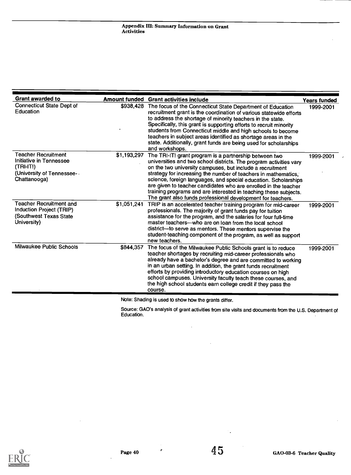| Grant awarded to                                                                                                  | <b>Amount funded</b> | <b>Grant activities include</b>                                                                                                                                                                                                                                                                                                                                                                                                                                                                                                      | <b>Years funded</b> |
|-------------------------------------------------------------------------------------------------------------------|----------------------|--------------------------------------------------------------------------------------------------------------------------------------------------------------------------------------------------------------------------------------------------------------------------------------------------------------------------------------------------------------------------------------------------------------------------------------------------------------------------------------------------------------------------------------|---------------------|
| <b>Connecticut State Dept of</b><br>Education                                                                     | \$938,428            | The focus of the Connecticut State Department of Education<br>recruitment grant is the coordination of various statewide efforts<br>to address the shortage of minority teachers in the state.<br>Specifically, this grant is supporting efforts to recruit minority<br>students from Connecticut middle and high schools to become<br>teachers in subject areas identified as shortage areas in the<br>state. Additionally, grant funds are being used for scholarships<br>and workshops.                                           | 1999-2001           |
| <b>Teacher Recruitment</b><br>Initiative in Tennessee<br>(TRI-IT!)<br>(University of Tennessee -.<br>Chattanooga) | \$1,193,297          | The TRI-IT! grant program is a partnership between two<br>universities and two school districts. The program activities vary<br>on the two university campuses, but include a recruitment<br>strategy for increasing the number of teachers in mathematics,<br>science, foreign languages, and special education. Scholarships<br>are given to teacher candidates who are enrolled in the teacher<br>training programs and are interested in teaching these subjects.<br>The grant also funds professional development for teachers. | 1999-2001           |
| <b>Teacher Recruitment and</b><br>Induction Project (TRIP)<br>(Southwest Texas State<br>University)               | \$1,051,241          | TRIP is an accelerated teacher training program for mid-career<br>professionals. The majority of grant funds pay for tuition<br>assistance for the program, and the salaries for four full-time<br>master teachers—who are on loan from the local school<br>district—to serve as mentors. These mentors supervise the<br>student-teaching component of the program, as well as support<br>new teachers.                                                                                                                              | 1999-2001           |
| Milwaukee Public Schools                                                                                          | \$844.357            | The focus of the Milwaukee Public Schools grant is to reduce<br>teacher shortages by recruiting mid-career professionals who<br>already have a bachelor's degree and are committed to working<br>in an urban setting. In addition, the grant funds recruitment<br>efforts by providing introductory education courses on high<br>school campuses. University faculty teach these courses, and<br>the high school students earn college credit if they pass the<br>course.                                                            | 1999-2001           |

Note: Shading is used to show how the grants differ.

 $\hat{\mathcal{A}}$ 

Source: GAO's analysis of grant activities from site visits and documents from the U.S. Department of Education.



 $\ddot{\phantom{a}}$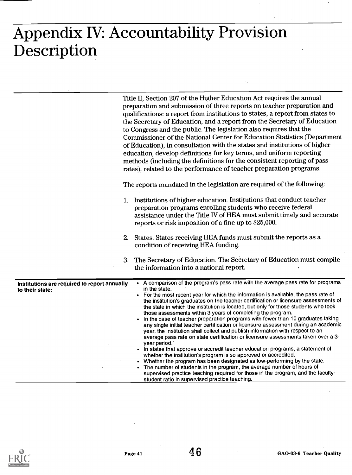# Appendix IV: Accountability Provision Description

| Title II, Section 207 of the Higher Education Act requires the annual<br>preparation and submission of three reports on teacher preparation and<br>qualifications: a report from institutions to states, a report from states to<br>the Secretary of Education, and a report from the Secretary of Education<br>to Congress and the public. The legislation also requires that the<br>Commissioner of the National Center for Education Statistics (Department<br>of Education), in consultation with the states and institutions of higher<br>education, develop definitions for key terms, and uniform reporting<br>methods (including the definitions for the consistent reporting of pass<br>rates), related to the performance of teacher preparation programs.                                                                                                                                                                                                                                                                                                                                                                                                                                                                                                                                                  |
|-----------------------------------------------------------------------------------------------------------------------------------------------------------------------------------------------------------------------------------------------------------------------------------------------------------------------------------------------------------------------------------------------------------------------------------------------------------------------------------------------------------------------------------------------------------------------------------------------------------------------------------------------------------------------------------------------------------------------------------------------------------------------------------------------------------------------------------------------------------------------------------------------------------------------------------------------------------------------------------------------------------------------------------------------------------------------------------------------------------------------------------------------------------------------------------------------------------------------------------------------------------------------------------------------------------------------|
| The reports mandated in the legislation are required of the following:                                                                                                                                                                                                                                                                                                                                                                                                                                                                                                                                                                                                                                                                                                                                                                                                                                                                                                                                                                                                                                                                                                                                                                                                                                                |
| 1. Institutions of higher education. Institutions that conduct teacher<br>preparation programs enrolling students who receive federal<br>assistance under the Title IV of HEA must submit timely and accurate<br>reports or risk imposition of a fine up to \$25,000.                                                                                                                                                                                                                                                                                                                                                                                                                                                                                                                                                                                                                                                                                                                                                                                                                                                                                                                                                                                                                                                 |
| States. States receiving HEA funds must submit the reports as a<br>2.<br>condition of receiving HEA funding.                                                                                                                                                                                                                                                                                                                                                                                                                                                                                                                                                                                                                                                                                                                                                                                                                                                                                                                                                                                                                                                                                                                                                                                                          |
| The Secretary of Education. The Secretary of Education must compile<br>3.<br>the information into a national report.                                                                                                                                                                                                                                                                                                                                                                                                                                                                                                                                                                                                                                                                                                                                                                                                                                                                                                                                                                                                                                                                                                                                                                                                  |
| • A comparison of the program's pass rate with the average pass rate for programs<br>Institutions are required to report annually<br>in the state.<br>• For the most recent year for which the information is available, the pass rate of<br>the institution's graduates on the teacher certification or licensure assessments of<br>the state in which the institution is located, but only for those students who took<br>those assessments within 3 years of completing the program.<br>In the case of teacher preparation programs with fewer than 10 graduates taking<br>any single initial teacher certification or licensure assessment during an academic<br>year, the institution shall collect and publish information with respect to an<br>average pass rate on state certification or licensure assessments taken over a 3-<br>year period. <sup>ª</sup><br>• In states that approve or accredit teacher education programs, a statement of<br>whether the institution's program is so approved or accredited.<br>Whether the program has been designated as low-performing by the state.<br>The number of students in the program, the average number of hours of<br>supervised practice teaching required for those in the program, and the faculty-<br>student ratio in supervised practice teaching. |
|                                                                                                                                                                                                                                                                                                                                                                                                                                                                                                                                                                                                                                                                                                                                                                                                                                                                                                                                                                                                                                                                                                                                                                                                                                                                                                                       |

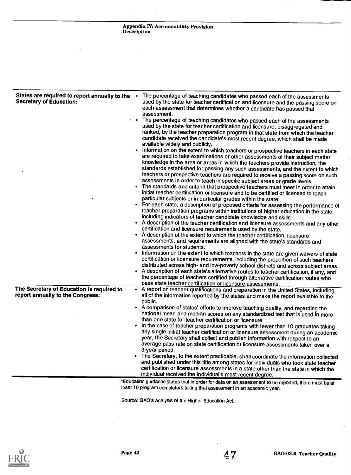| States are required to report annually to the<br><b>Secretary of Education:</b> | The percentage of teaching candidates who passed each of the assessments<br>used by the state for teacher certification and licensure and the passing score on<br>each assessment that determines whether a candidate has passed that<br>assessment.<br>The percentage of teaching candidates who passed each of the assessments<br>used by the state for teacher certification and licensure, disaggregated and<br>ranked, by the teacher preparation program in that state from which the teacher<br>candidate received the candidate's most recent degree, which shall be made<br>available widely and publicly,<br>Information on the extent to which teachers or prospective teachers in each state<br>are required to take examinations or other assessments of their subject matter<br>knowledge in the area or areas in which the teachers provide instruction, the<br>standards established for passing any such assessments, and the extent to which<br>teachers or prospective teachers are required to receive a passing score on such<br>assessments in order to teach in specific subject areas or grade levels.<br>The standards and criteria that prospective teachers must meet in order to attain<br>initial teacher certification or licensure and to be certified or licensed to teach<br>particular subjects or in particular grades within the state.<br>• For each state, a description of proposed criteria for assessing the performance of<br>teacher preparation programs within institutions of higher education in the state,<br>including indicators of teacher candidate knowledge and skills.<br>• A description of the teacher certification and licensure assessments and any other<br>certification and licensure requirements used by the state.<br>• A description of the extent to which the teacher certification, licensure<br>assessments, and requirements are aligned with the state's standards and<br>assessments for students. |
|---------------------------------------------------------------------------------|------------------------------------------------------------------------------------------------------------------------------------------------------------------------------------------------------------------------------------------------------------------------------------------------------------------------------------------------------------------------------------------------------------------------------------------------------------------------------------------------------------------------------------------------------------------------------------------------------------------------------------------------------------------------------------------------------------------------------------------------------------------------------------------------------------------------------------------------------------------------------------------------------------------------------------------------------------------------------------------------------------------------------------------------------------------------------------------------------------------------------------------------------------------------------------------------------------------------------------------------------------------------------------------------------------------------------------------------------------------------------------------------------------------------------------------------------------------------------------------------------------------------------------------------------------------------------------------------------------------------------------------------------------------------------------------------------------------------------------------------------------------------------------------------------------------------------------------------------------------------------------------------------------------------------------------------------------------------------|
| The Secretary of Education is required to<br>report annually to the Congress:   | • A description of each state's alternative routes to teacher certification, if any, and<br>the percentage of teachers certified through alternative certification routes who<br>pass state teacher certification or licensure assessments.<br>• A report on teacher qualifications and preparation in the United States, including<br>all of the information reported by the states and make the report available to the                                                                                                                                                                                                                                                                                                                                                                                                                                                                                                                                                                                                                                                                                                                                                                                                                                                                                                                                                                                                                                                                                                                                                                                                                                                                                                                                                                                                                                                                                                                                                    |
|                                                                                 | public.<br>A comparison of states' efforts to improve teaching quality, and regarding the<br>national mean and median scores on any standardized test that is used in more<br>than one state for teacher certification or licensure.<br>• In the case of teacher preparation programs with fewer than 10 graduates taking<br>any single initial teacher certification or licensure assessment during an academic<br>year, the Secretary shall collect and publish information with respect to an<br>average pass rate on state certification or licensure assessments taken over a<br>3-year period.<br>The Secretary, to the extent practicable, shall coordinate the information collected<br>and published under this title among states for individuals who took state teacher<br>certification or licensure assessments in a state other than the state in which the<br>individual received the individual's most recent degree.                                                                                                                                                                                                                                                                                                                                                                                                                                                                                                                                                                                                                                                                                                                                                                                                                                                                                                                                                                                                                                        |

°Education guidance states that in order for data on an assessment to be reported, there must be at least 10 program completers taking that assessment in an academic year.

Source: GAO's analysis of the Higher Education Act.

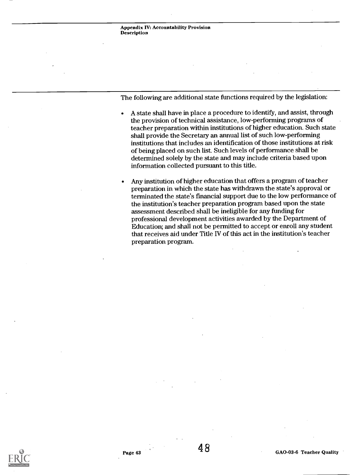The following are additional state functions required by the legislation:

- A state shall have in place a procedure to identify, and assist, through the provision of technical assistance, low-performing programs of teacher preparation within institutions of higher education. Such state shall provide the Secretary an annual list of such low-performing institutions that includes an identification of those institutions at risk of being placed on such list. Such levels of performance shall be determined solely by the state and may include criteria based upon information collected pursuant to this title.
- Any institution of higher education that offers a program of teacher preparation in which the state has withdrawn the state's approval or terminated the state's financial support due to the low performance of the institution's teacher preparation program based upon the state assessment described shall be ineligible for any funding for professional development activities awarded by the Department of Education; and shall not be permitted to accept or enroll any student that receives aid under Title IV of this act in the institution's teacher preparation program.

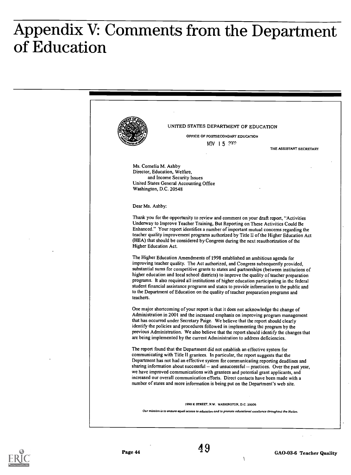# Appendix V: Comments from the Department of Education





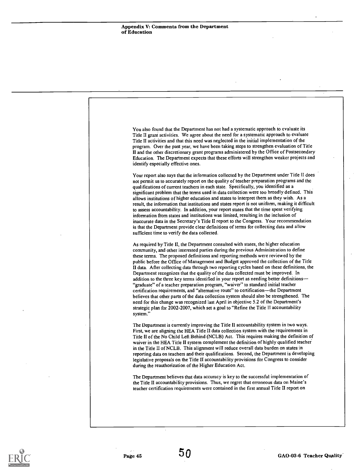

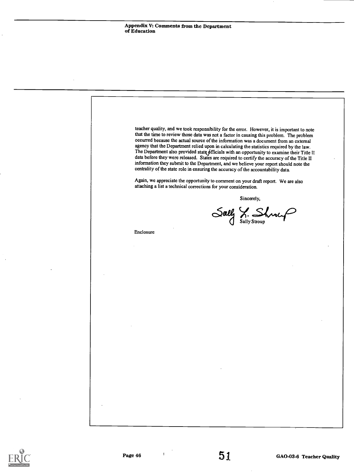teacher quality, and we took responsibility for the error. However, it is important to note that the time to review those data was not a factor in causing this problem. The problem occurred because the actual source of the information was a document from an external agency that the Department relied upon in calculating the statistics required by the law. The Department also provided state officials with an opportunity to examine their Title II data before they were released. States are required to certify the accuracy of the Title II information they submit to the Department, and we believe your report should note the centrality of the state role in ensuring the accuracy of the accountability data. Again, we appreciate the opportunity to comment on your draft report. We are also attaching a list a technical corrections for your consideration. Enclosure Sincerely, Sally S. Shroup

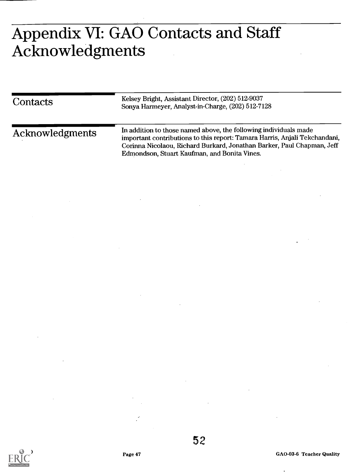# Appendix VI: GAO Contacts and Staff Acknowledgments

| Contacts        | Kelsey Bright, Assistant Director, (202) 512-9037<br>Sonya Harmeyer, Analyst-in-Charge, (202) 512-7128                                                                                                                                                                   |  |  |
|-----------------|--------------------------------------------------------------------------------------------------------------------------------------------------------------------------------------------------------------------------------------------------------------------------|--|--|
| Acknowledgments | In addition to those named above, the following individuals made<br>important contributions to this report: Tamara Harris, Anjali Tekchandani,<br>Corinna Nicolaou, Richard Burkard, Jonathan Barker, Paul Chapman, Jeff<br>Edmondson, Stuart Kaufman, and Bonita Vines. |  |  |



52

Page 47 GAO-03-6 Teacher Quality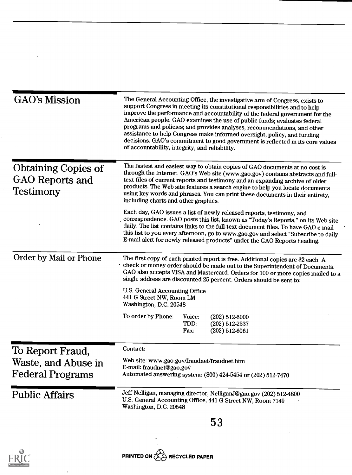| <b>GAO's Mission</b>                                                     | The General Accounting Office, the investigative arm of Congress, exists to                                                                                                                                                                                                                                                                                                                                                                                                                                                         |
|--------------------------------------------------------------------------|-------------------------------------------------------------------------------------------------------------------------------------------------------------------------------------------------------------------------------------------------------------------------------------------------------------------------------------------------------------------------------------------------------------------------------------------------------------------------------------------------------------------------------------|
|                                                                          | support Congress in meeting its constitutional responsibilities and to help<br>improve the performance and accountability of the federal government for the<br>American people. GAO examines the use of public funds; evaluates federal<br>programs and policies; and provides analyses, recommendations, and other<br>assistance to help Congress make informed oversight, policy, and funding<br>decisions. GAO's commitment to good government is reflected in its core values<br>of accountability, integrity, and reliability. |
| <b>Obtaining Copies of</b><br><b>GAO Reports and</b><br><b>Testimony</b> | The fastest and easiest way to obtain copies of GAO documents at no cost is<br>through the Internet. GAO's Web site (www.gao.gov) contains abstracts and full-<br>text files of current reports and testimony and an expanding archive of older<br>products. The Web site features a search engine to help you locate documents<br>using key words and phrases. You can print these documents in their entirety,<br>including charts and other graphics.                                                                            |
|                                                                          | Each day, GAO issues a list of newly released reports, testimony, and<br>correspondence. GAO posts this list, known as "Today's Reports," on its Web site<br>daily. The list contains links to the full-text document files. To have GAO e-mail<br>this list to you every afternoon, go to www.gao.gov and select "Subscribe to daily<br>E-mail alert for newly released products" under the GAO Reports heading.                                                                                                                   |
| Order by Mail or Phone                                                   | The first copy of each printed report is free. Additional copies are \$2 each. A<br>check or money order should be made out to the Superintendent of Documents.<br>GAO also accepts VISA and Mastercard. Orders for 100 or more copies mailed to a<br>single address are discounted 25 percent. Orders should be sent to:                                                                                                                                                                                                           |
|                                                                          | U.S. General Accounting Office<br>441 G Street NW, Room LM<br>Washington, D.C. 20548                                                                                                                                                                                                                                                                                                                                                                                                                                                |
|                                                                          | To order by Phone:<br>Voice:<br>$(202)$ 512-6000<br>TDD:<br>$(202)$ 512-2537<br>Fax:<br>$(202)$ 512-6061                                                                                                                                                                                                                                                                                                                                                                                                                            |
| To Report Fraud,                                                         | Contact:                                                                                                                                                                                                                                                                                                                                                                                                                                                                                                                            |
| Waste, and Abuse in<br><b>Federal Programs</b>                           | Web site: www.gao.gov/fraudnet/fraudnet.htm<br>E-mail: fraudnet@gao.gov<br>Automated answering system: (800) 424-5454 or (202) 512-7470                                                                                                                                                                                                                                                                                                                                                                                             |
| <b>Public Affairs</b>                                                    | Jeff Nelligan, managing director, NelliganJ@gao.gov (202) 512-4800<br>U.S. General Accounting Office, 441 G Street NW, Room 7149<br>Washington, D.C. 20548                                                                                                                                                                                                                                                                                                                                                                          |
|                                                                          |                                                                                                                                                                                                                                                                                                                                                                                                                                                                                                                                     |



 $\ddot{\phantom{1}}$ 

 $\ddot{\phantom{0}}$ 

l,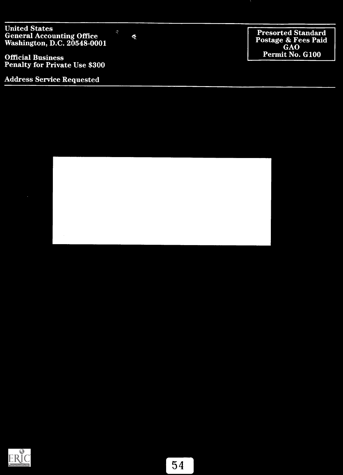United States General Accounting Office<br>Washington, D.C. 20548-0001

Official Business Penalty for Private Use \$300

Address Service Requested

Presorted Standard Postage & Fees Paid GAO Permit No. G100